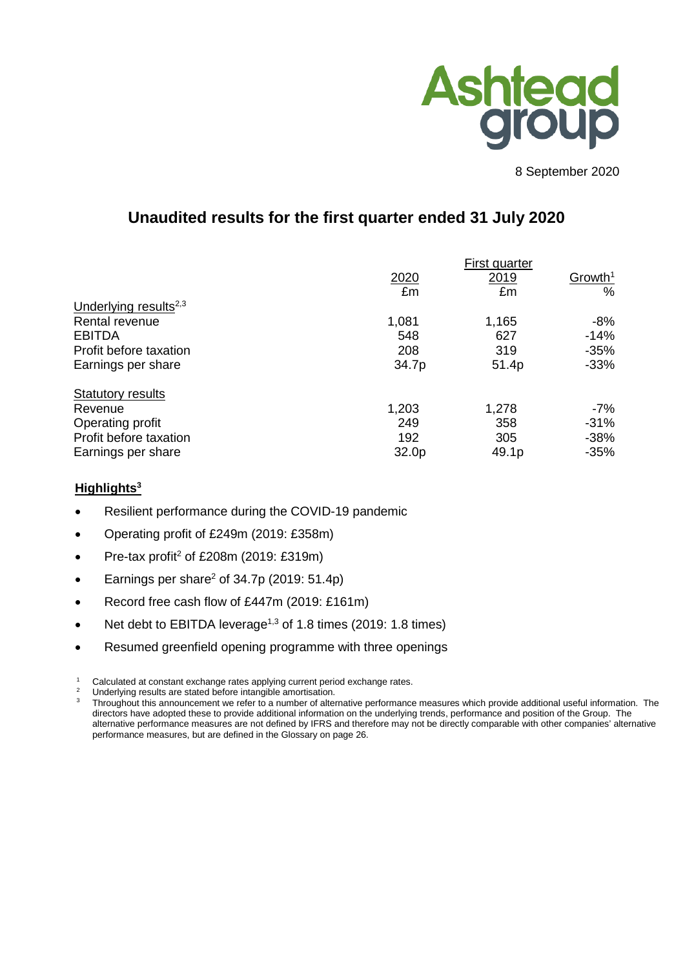

8 September 2020

# **Unaudited results for the first quarter ended 31 July 2020**

|                                   | First quarter |       |                     |  |  |
|-----------------------------------|---------------|-------|---------------------|--|--|
|                                   | 2020          | 2019  | Growth <sup>1</sup> |  |  |
|                                   | £m            | £m    | $\%$                |  |  |
| Underlying results <sup>2,3</sup> |               |       |                     |  |  |
| Rental revenue                    | 1,081         | 1,165 | $-8%$               |  |  |
| <b>EBITDA</b>                     | 548           | 627   | $-14%$              |  |  |
| Profit before taxation            | 208           | 319   | $-35%$              |  |  |
| Earnings per share                | 34.7p         | 51.4p | $-33%$              |  |  |
| <b>Statutory results</b>          |               |       |                     |  |  |
| Revenue                           | 1,203         | 1,278 | $-7%$               |  |  |
| Operating profit                  | 249           | 358   | $-31%$              |  |  |
| Profit before taxation            | 192           | 305   | $-38%$              |  |  |
| Earnings per share                | 32.0p         | 49.1p | $-35%$              |  |  |

# **Highlights3**

- Resilient performance during the COVID-19 pandemic
- Operating profit of £249m (2019: £358m)
- Pre-tax profit<sup>2</sup> of £208m (2019: £319m)
- Earnings per share<sup>2</sup> of  $34.7p$  (2019: 51.4p)
- Record free cash flow of £447m (2019: £161m)
- Net debt to EBITDA leverage<sup>1,3</sup> of 1.8 times (2019: 1.8 times)
- Resumed greenfield opening programme with three openings

<sup>1</sup> Calculated at constant exchange rates applying current period exchange rates.

<sup>&</sup>lt;sup>2</sup> Underlying results are stated before intangible amortisation.

<sup>3</sup> Throughout this announcement we refer to a number of alternative performance measures which provide additional useful information. The directors have adopted these to provide additional information on the underlying trends, performance and position of the Group. The alternative performance measures are not defined by IFRS and therefore may not be directly comparable with other companies' alternative performance measures, but are defined in the Glossary on page 26.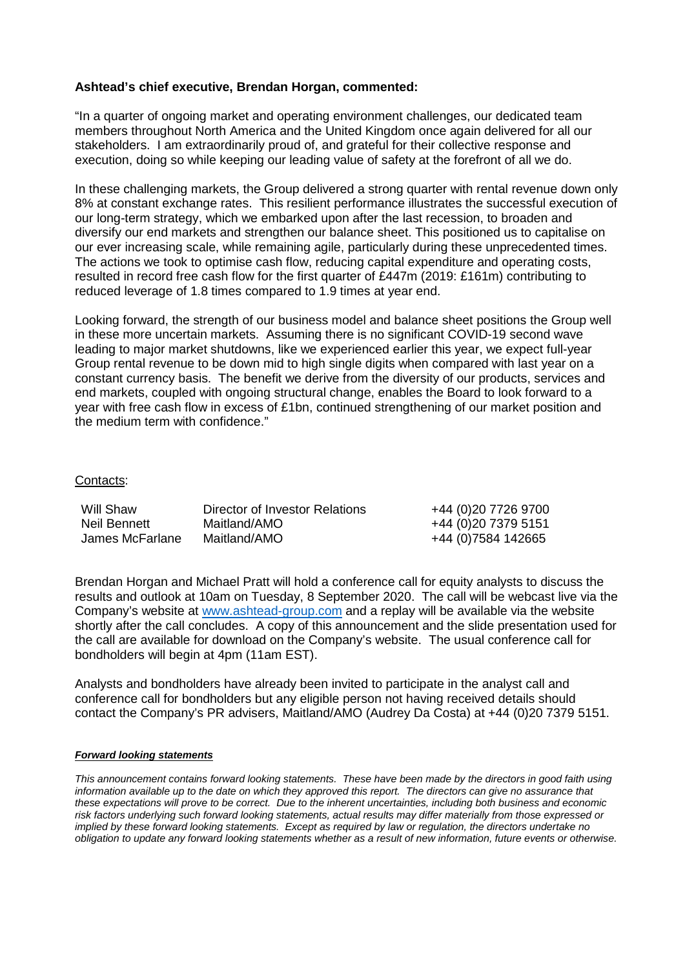## **Ashtead's chief executive, Brendan Horgan, commented:**

"In a quarter of ongoing market and operating environment challenges, our dedicated team members throughout North America and the United Kingdom once again delivered for all our stakeholders. I am extraordinarily proud of, and grateful for their collective response and execution, doing so while keeping our leading value of safety at the forefront of all we do.

In these challenging markets, the Group delivered a strong quarter with rental revenue down only 8% at constant exchange rates. This resilient performance illustrates the successful execution of our long-term strategy, which we embarked upon after the last recession, to broaden and diversify our end markets and strengthen our balance sheet. This positioned us to capitalise on our ever increasing scale, while remaining agile, particularly during these unprecedented times. The actions we took to optimise cash flow, reducing capital expenditure and operating costs, resulted in record free cash flow for the first quarter of £447m (2019: £161m) contributing to reduced leverage of 1.8 times compared to 1.9 times at year end.

Looking forward, the strength of our business model and balance sheet positions the Group well in these more uncertain markets. Assuming there is no significant COVID-19 second wave leading to major market shutdowns, like we experienced earlier this year, we expect full-year Group rental revenue to be down mid to high single digits when compared with last year on a constant currency basis. The benefit we derive from the diversity of our products, services and end markets, coupled with ongoing structural change, enables the Board to look forward to a year with free cash flow in excess of £1bn, continued strengthening of our market position and the medium term with confidence."

#### Contacts:

| Will Shaw       | Director of Investor Relations | +44 (0)20 7726 9700  |
|-----------------|--------------------------------|----------------------|
| Neil Bennett    | Maitland/AMO                   | +44 (0) 20 7379 5151 |
| James McFarlane | Maitland/AMO                   | +44 (0)7584 142665   |

Brendan Horgan and Michael Pratt will hold a conference call for equity analysts to discuss the results and outlook at 10am on Tuesday, 8 September 2020. The call will be webcast live via the Company's website at [www.ashtead-group.com](http://www.ashtead-group.com/) and a replay will be available via the website shortly after the call concludes. A copy of this announcement and the slide presentation used for the call are available for download on the Company's website. The usual conference call for bondholders will begin at 4pm (11am EST).

Analysts and bondholders have already been invited to participate in the analyst call and conference call for bondholders but any eligible person not having received details should contact the Company's PR advisers, Maitland/AMO (Audrey Da Costa) at +44 (0)20 7379 5151.

#### *Forward looking statements*

*This announcement contains forward looking statements. These have been made by the directors in good faith using*  information available up to the date on which they approved this report. The directors can give no assurance that *these expectations will prove to be correct. Due to the inherent uncertainties, including both business and economic risk factors underlying such forward looking statements, actual results may differ materially from those expressed or implied by these forward looking statements. Except as required by law or regulation, the directors undertake no obligation to update any forward looking statements whether as a result of new information, future events or otherwise.*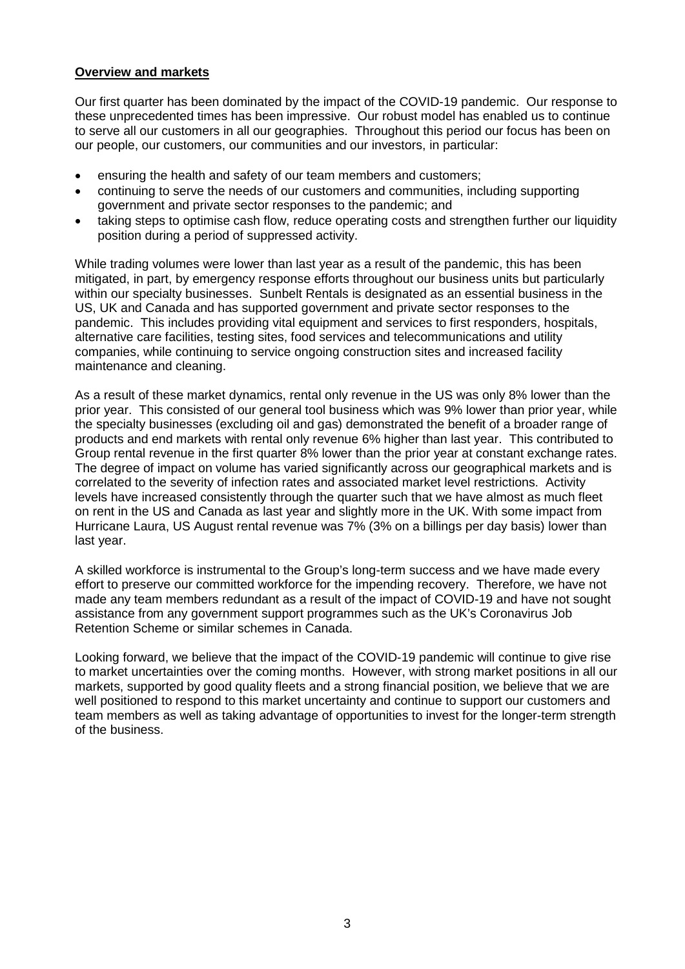## **Overview and markets**

Our first quarter has been dominated by the impact of the COVID-19 pandemic. Our response to these unprecedented times has been impressive. Our robust model has enabled us to continue to serve all our customers in all our geographies. Throughout this period our focus has been on our people, our customers, our communities and our investors, in particular:

- ensuring the health and safety of our team members and customers;
- continuing to serve the needs of our customers and communities, including supporting government and private sector responses to the pandemic; and
- taking steps to optimise cash flow, reduce operating costs and strengthen further our liquidity position during a period of suppressed activity.

While trading volumes were lower than last year as a result of the pandemic, this has been mitigated, in part, by emergency response efforts throughout our business units but particularly within our specialty businesses. Sunbelt Rentals is designated as an essential business in the US, UK and Canada and has supported government and private sector responses to the pandemic. This includes providing vital equipment and services to first responders, hospitals, alternative care facilities, testing sites, food services and telecommunications and utility companies, while continuing to service ongoing construction sites and increased facility maintenance and cleaning.

As a result of these market dynamics, rental only revenue in the US was only 8% lower than the prior year. This consisted of our general tool business which was 9% lower than prior year, while the specialty businesses (excluding oil and gas) demonstrated the benefit of a broader range of products and end markets with rental only revenue 6% higher than last year. This contributed to Group rental revenue in the first quarter 8% lower than the prior year at constant exchange rates. The degree of impact on volume has varied significantly across our geographical markets and is correlated to the severity of infection rates and associated market level restrictions. Activity levels have increased consistently through the quarter such that we have almost as much fleet on rent in the US and Canada as last year and slightly more in the UK. With some impact from Hurricane Laura, US August rental revenue was 7% (3% on a billings per day basis) lower than last year.

A skilled workforce is instrumental to the Group's long-term success and we have made every effort to preserve our committed workforce for the impending recovery. Therefore, we have not made any team members redundant as a result of the impact of COVID-19 and have not sought assistance from any government support programmes such as the UK's Coronavirus Job Retention Scheme or similar schemes in Canada.

Looking forward, we believe that the impact of the COVID-19 pandemic will continue to give rise to market uncertainties over the coming months. However, with strong market positions in all our markets, supported by good quality fleets and a strong financial position, we believe that we are well positioned to respond to this market uncertainty and continue to support our customers and team members as well as taking advantage of opportunities to invest for the longer-term strength of the business.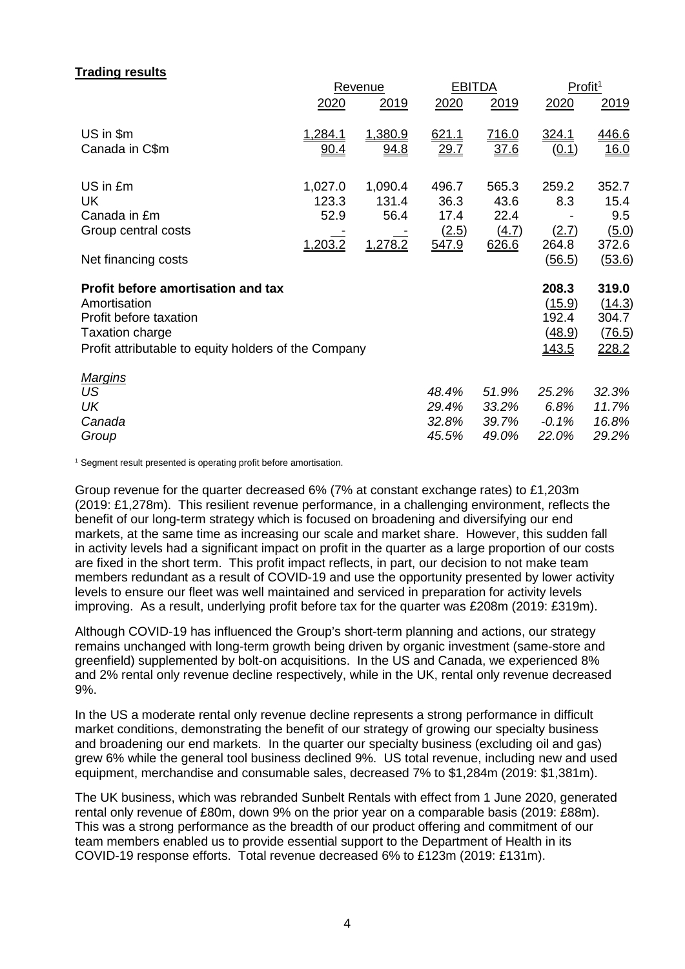# **Trading results**

|                                                      | <b>Revenue</b> |             | <b>EBITDA</b> |       | Profit <sup>1</sup> |              |
|------------------------------------------------------|----------------|-------------|---------------|-------|---------------------|--------------|
|                                                      | 2020           | 2019        | 2020          | 2019  | 2020                | 2019         |
| US in \$m                                            | 1,284.1        | 1,380.9     | 621.1         | 716.0 | 324.1               | 446.6        |
| Canada in C\$m                                       | <u>90.4</u>    | <u>94.8</u> | 29.7          | 37.6  | (0.1)               | 16.0         |
| US in £m                                             | 1,027.0        | 1,090.4     | 496.7         | 565.3 | 259.2               | 352.7        |
| <b>UK</b>                                            | 123.3          | 131.4       | 36.3          | 43.6  | 8.3                 | 15.4         |
| Canada in £m                                         | 52.9           | 56.4        | 17.4          | 22.4  |                     | 9.5          |
| Group central costs                                  |                |             | (2.5)         | (4.7) | (2.7)               | <u>(5.0)</u> |
|                                                      | 1,203.2        | 1,278.2     | 547.9         | 626.6 | 264.8               | 372.6        |
| Net financing costs                                  |                |             |               |       | (56.5)              | (53.6)       |
| Profit before amortisation and tax                   |                |             |               |       | 208.3               | 319.0        |
| Amortisation                                         |                |             |               |       | (15.9)              | (14.3)       |
| Profit before taxation                               |                |             |               |       | 192.4               | 304.7        |
| Taxation charge                                      |                |             |               |       | (48.9)              | (76.5)       |
| Profit attributable to equity holders of the Company |                |             |               |       | 143.5               | 228.2        |
| <u>Marqins</u>                                       |                |             |               |       |                     |              |
| US.                                                  |                |             | 48.4%         | 51.9% | 25.2%               | 32.3%        |
| UK                                                   |                |             | 29.4%         | 33.2% | 6.8%                | 11.7%        |
| Canada                                               |                |             | 32.8%         | 39.7% | $-0.1%$             | 16.8%        |
| Group                                                |                |             | 45.5%         | 49.0% | 22.0%               | 29.2%        |

<sup>1</sup> Segment result presented is operating profit before amortisation.

Group revenue for the quarter decreased 6% (7% at constant exchange rates) to £1,203m (2019: £1,278m). This resilient revenue performance, in a challenging environment, reflects the benefit of our long-term strategy which is focused on broadening and diversifying our end markets, at the same time as increasing our scale and market share. However, this sudden fall in activity levels had a significant impact on profit in the quarter as a large proportion of our costs are fixed in the short term. This profit impact reflects, in part, our decision to not make team members redundant as a result of COVID-19 and use the opportunity presented by lower activity levels to ensure our fleet was well maintained and serviced in preparation for activity levels improving. As a result, underlying profit before tax for the quarter was £208m (2019: £319m).

Although COVID-19 has influenced the Group's short-term planning and actions, our strategy remains unchanged with long-term growth being driven by organic investment (same-store and greenfield) supplemented by bolt-on acquisitions. In the US and Canada, we experienced 8% and 2% rental only revenue decline respectively, while in the UK, rental only revenue decreased 9%.

In the US a moderate rental only revenue decline represents a strong performance in difficult market conditions, demonstrating the benefit of our strategy of growing our specialty business and broadening our end markets. In the quarter our specialty business (excluding oil and gas) grew 6% while the general tool business declined 9%. US total revenue, including new and used equipment, merchandise and consumable sales, decreased 7% to \$1,284m (2019: \$1,381m).

The UK business, which was rebranded Sunbelt Rentals with effect from 1 June 2020, generated rental only revenue of £80m, down 9% on the prior year on a comparable basis (2019: £88m). This was a strong performance as the breadth of our product offering and commitment of our team members enabled us to provide essential support to the Department of Health in its COVID-19 response efforts. Total revenue decreased 6% to £123m (2019: £131m).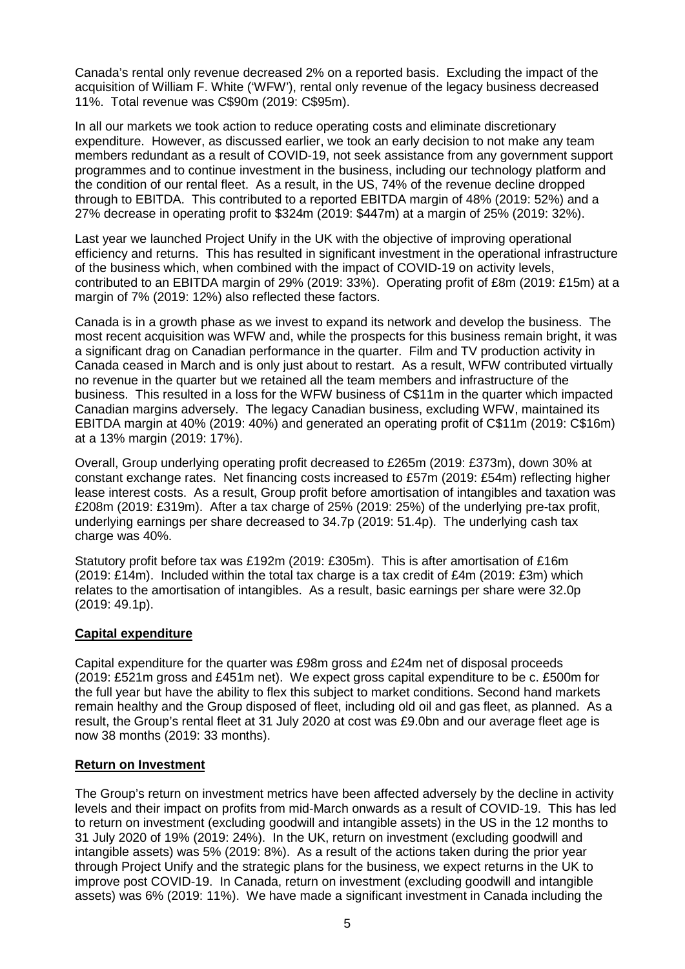Canada's rental only revenue decreased 2% on a reported basis. Excluding the impact of the acquisition of William F. White ('WFW'), rental only revenue of the legacy business decreased 11%. Total revenue was C\$90m (2019: C\$95m).

In all our markets we took action to reduce operating costs and eliminate discretionary expenditure. However, as discussed earlier, we took an early decision to not make any team members redundant as a result of COVID-19, not seek assistance from any government support programmes and to continue investment in the business, including our technology platform and the condition of our rental fleet. As a result, in the US, 74% of the revenue decline dropped through to EBITDA. This contributed to a reported EBITDA margin of 48% (2019: 52%) and a 27% decrease in operating profit to \$324m (2019: \$447m) at a margin of 25% (2019: 32%).

Last year we launched Project Unify in the UK with the objective of improving operational efficiency and returns. This has resulted in significant investment in the operational infrastructure of the business which, when combined with the impact of COVID-19 on activity levels, contributed to an EBITDA margin of 29% (2019: 33%). Operating profit of £8m (2019: £15m) at a margin of 7% (2019: 12%) also reflected these factors.

Canada is in a growth phase as we invest to expand its network and develop the business. The most recent acquisition was WFW and, while the prospects for this business remain bright, it was a significant drag on Canadian performance in the quarter. Film and TV production activity in Canada ceased in March and is only just about to restart. As a result, WFW contributed virtually no revenue in the quarter but we retained all the team members and infrastructure of the business. This resulted in a loss for the WFW business of C\$11m in the quarter which impacted Canadian margins adversely. The legacy Canadian business, excluding WFW, maintained its EBITDA margin at 40% (2019: 40%) and generated an operating profit of C\$11m (2019: C\$16m) at a 13% margin (2019: 17%).

Overall, Group underlying operating profit decreased to £265m (2019: £373m), down 30% at constant exchange rates. Net financing costs increased to £57m (2019: £54m) reflecting higher lease interest costs. As a result, Group profit before amortisation of intangibles and taxation was £208m (2019: £319m). After a tax charge of 25% (2019: 25%) of the underlying pre-tax profit, underlying earnings per share decreased to 34.7p (2019: 51.4p). The underlying cash tax charge was 40%.

Statutory profit before tax was £192m (2019: £305m). This is after amortisation of £16m (2019: £14m). Included within the total tax charge is a tax credit of  $E4m$  (2019: £3m) which relates to the amortisation of intangibles. As a result, basic earnings per share were 32.0p (2019: 49.1p).

## **Capital expenditure**

Capital expenditure for the quarter was £98m gross and £24m net of disposal proceeds (2019: £521m gross and £451m net). We expect gross capital expenditure to be c. £500m for the full year but have the ability to flex this subject to market conditions. Second hand markets remain healthy and the Group disposed of fleet, including old oil and gas fleet, as planned. As a result, the Group's rental fleet at 31 July 2020 at cost was £9.0bn and our average fleet age is now 38 months (2019: 33 months).

## **Return on Investment**

The Group's return on investment metrics have been affected adversely by the decline in activity levels and their impact on profits from mid-March onwards as a result of COVID-19. This has led to return on investment (excluding goodwill and intangible assets) in the US in the 12 months to 31 July 2020 of 19% (2019: 24%). In the UK, return on investment (excluding goodwill and intangible assets) was 5% (2019: 8%). As a result of the actions taken during the prior year through Project Unify and the strategic plans for the business, we expect returns in the UK to improve post COVID-19. In Canada, return on investment (excluding goodwill and intangible assets) was 6% (2019: 11%). We have made a significant investment in Canada including the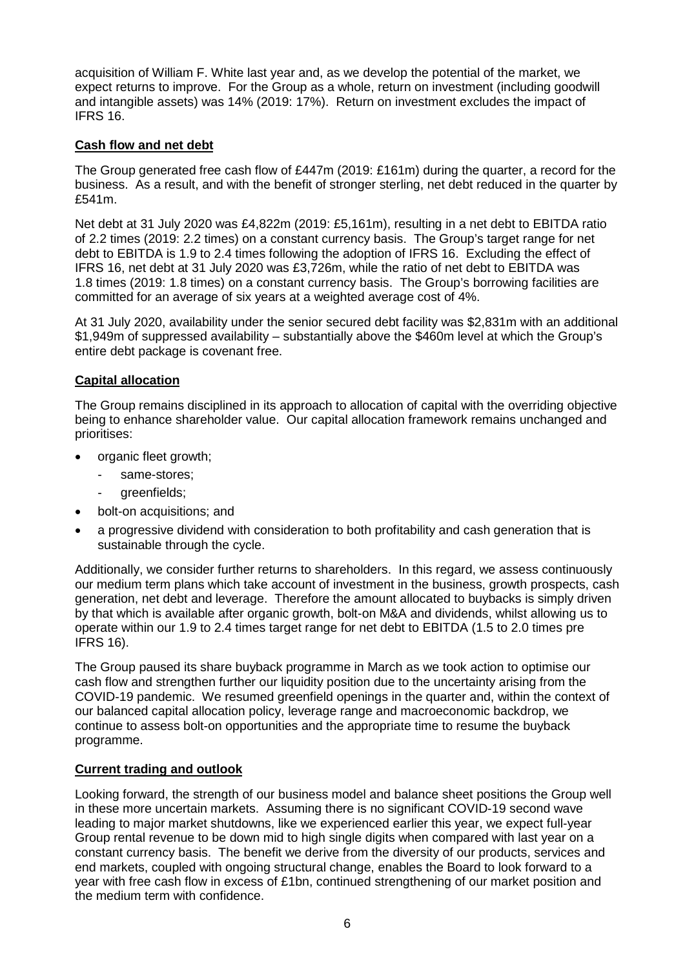acquisition of William F. White last year and, as we develop the potential of the market, we expect returns to improve. For the Group as a whole, return on investment (including goodwill and intangible assets) was 14% (2019: 17%). Return on investment excludes the impact of IFRS 16.

# **Cash flow and net debt**

The Group generated free cash flow of £447m (2019: £161m) during the quarter, a record for the business. As a result, and with the benefit of stronger sterling, net debt reduced in the quarter by £541m.

Net debt at 31 July 2020 was £4,822m (2019: £5,161m), resulting in a net debt to EBITDA ratio of 2.2 times (2019: 2.2 times) on a constant currency basis. The Group's target range for net debt to EBITDA is 1.9 to 2.4 times following the adoption of IFRS 16. Excluding the effect of IFRS 16, net debt at 31 July 2020 was £3,726m, while the ratio of net debt to EBITDA was 1.8 times (2019: 1.8 times) on a constant currency basis. The Group's borrowing facilities are committed for an average of six years at a weighted average cost of 4%.

At 31 July 2020, availability under the senior secured debt facility was \$2,831m with an additional \$1,949m of suppressed availability – substantially above the \$460m level at which the Group's entire debt package is covenant free.

# **Capital allocation**

The Group remains disciplined in its approach to allocation of capital with the overriding objective being to enhance shareholder value. Our capital allocation framework remains unchanged and prioritises:

- organic fleet growth;
	- same-stores:
	- greenfields;
- bolt-on acquisitions; and
- a progressive dividend with consideration to both profitability and cash generation that is sustainable through the cycle.

Additionally, we consider further returns to shareholders. In this regard, we assess continuously our medium term plans which take account of investment in the business, growth prospects, cash generation, net debt and leverage. Therefore the amount allocated to buybacks is simply driven by that which is available after organic growth, bolt-on M&A and dividends, whilst allowing us to operate within our 1.9 to 2.4 times target range for net debt to EBITDA (1.5 to 2.0 times pre IFRS 16).

The Group paused its share buyback programme in March as we took action to optimise our cash flow and strengthen further our liquidity position due to the uncertainty arising from the COVID-19 pandemic. We resumed greenfield openings in the quarter and, within the context of our balanced capital allocation policy, leverage range and macroeconomic backdrop, we continue to assess bolt-on opportunities and the appropriate time to resume the buyback programme.

## **Current trading and outlook**

Looking forward, the strength of our business model and balance sheet positions the Group well in these more uncertain markets. Assuming there is no significant COVID-19 second wave leading to major market shutdowns, like we experienced earlier this year, we expect full-year Group rental revenue to be down mid to high single digits when compared with last year on a constant currency basis. The benefit we derive from the diversity of our products, services and end markets, coupled with ongoing structural change, enables the Board to look forward to a year with free cash flow in excess of £1bn, continued strengthening of our market position and the medium term with confidence.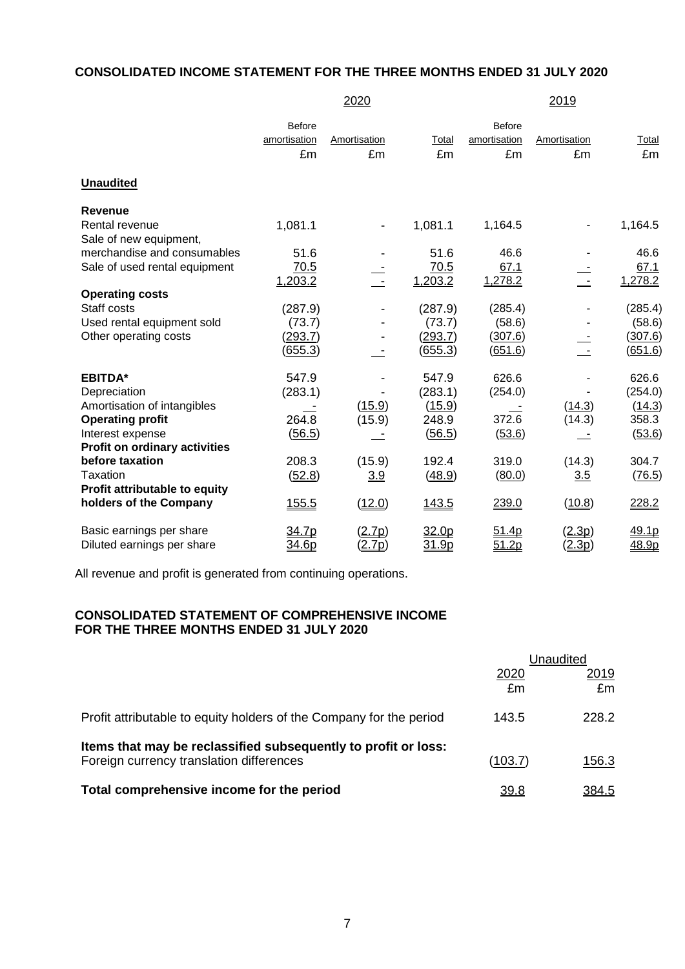# **CONSOLIDATED INCOME STATEMENT FOR THE THREE MONTHS ENDED 31 JULY 2020**

|                               |               | 2020         |         |               | 2019         |         |
|-------------------------------|---------------|--------------|---------|---------------|--------------|---------|
|                               | <b>Before</b> |              |         | <b>Before</b> |              |         |
|                               | amortisation  | Amortisation | Total   | amortisation  | Amortisation | Total   |
|                               | £m            | £m           | £m      | £m            | £m           | £m      |
| <b>Unaudited</b>              |               |              |         |               |              |         |
| <b>Revenue</b>                |               |              |         |               |              |         |
| Rental revenue                | 1,081.1       |              | 1,081.1 | 1,164.5       |              | 1,164.5 |
| Sale of new equipment,        |               |              |         |               |              |         |
| merchandise and consumables   | 51.6          |              | 51.6    | 46.6          |              | 46.6    |
| Sale of used rental equipment | 70.5          |              | 70.5    | 67.1          |              | 67.1    |
|                               | 1,203.2       |              | 1,203.2 | 1,278.2       |              | 1,278.2 |
| <b>Operating costs</b>        |               |              |         |               |              |         |
| Staff costs                   | (287.9)       |              | (287.9) | (285.4)       |              | (285.4) |
| Used rental equipment sold    | (73.7)        |              | (73.7)  | (58.6)        |              | (58.6)  |
| Other operating costs         | (293.7)       |              | (293.7) | (307.6)       |              | (307.6) |
|                               | (655.3)       |              | (655.3) | (651.6)       |              | (651.6) |
| <b>EBITDA*</b>                | 547.9         |              | 547.9   | 626.6         |              | 626.6   |
| Depreciation                  | (283.1)       |              | (283.1) | (254.0)       |              | (254.0) |
| Amortisation of intangibles   |               | (15.9)       | (15.9)  |               | (14.3)       | (14.3)  |
| <b>Operating profit</b>       | 264.8         | (15.9)       | 248.9   | 372.6         | (14.3)       | 358.3   |
| Interest expense              | (56.5)        |              | (56.5)  | (53.6)        |              | (53.6)  |
| Profit on ordinary activities |               |              |         |               |              |         |
| before taxation               | 208.3         | (15.9)       | 192.4   | 319.0         | (14.3)       | 304.7   |
| Taxation                      | (52.8)        | 3.9          | (48.9)  | (80.0)        | 3.5          | (76.5)  |
| Profit attributable to equity |               |              |         |               |              |         |
| holders of the Company        | <u>155.5</u>  | (12.0)       | 143.5   | 239.0         | (10.8)       | 228.2   |
| Basic earnings per share      | 34.7p         | (2.7p)       | 32.0p   | 51.4p         | (2.3p)       | 49.1p   |
| Diluted earnings per share    | <u>34.6p</u>  | (2.7p)       | 31.9p   | 51.2p         | (2.3p)       | 48.9p   |

All revenue and profit is generated from continuing operations.

# **CONSOLIDATED STATEMENT OF COMPREHENSIVE INCOME FOR THE THREE MONTHS ENDED 31 JULY 2020**

|                                                                                                            | Unaudited   |            |  |
|------------------------------------------------------------------------------------------------------------|-------------|------------|--|
|                                                                                                            | 2020<br>£m  | 2019<br>£m |  |
| Profit attributable to equity holders of the Company for the period                                        | 143.5       | 228.2      |  |
| Items that may be reclassified subsequently to profit or loss:<br>Foreign currency translation differences | (103.7)     | 156.3      |  |
| Total comprehensive income for the period                                                                  | <u>39.8</u> | 384.5      |  |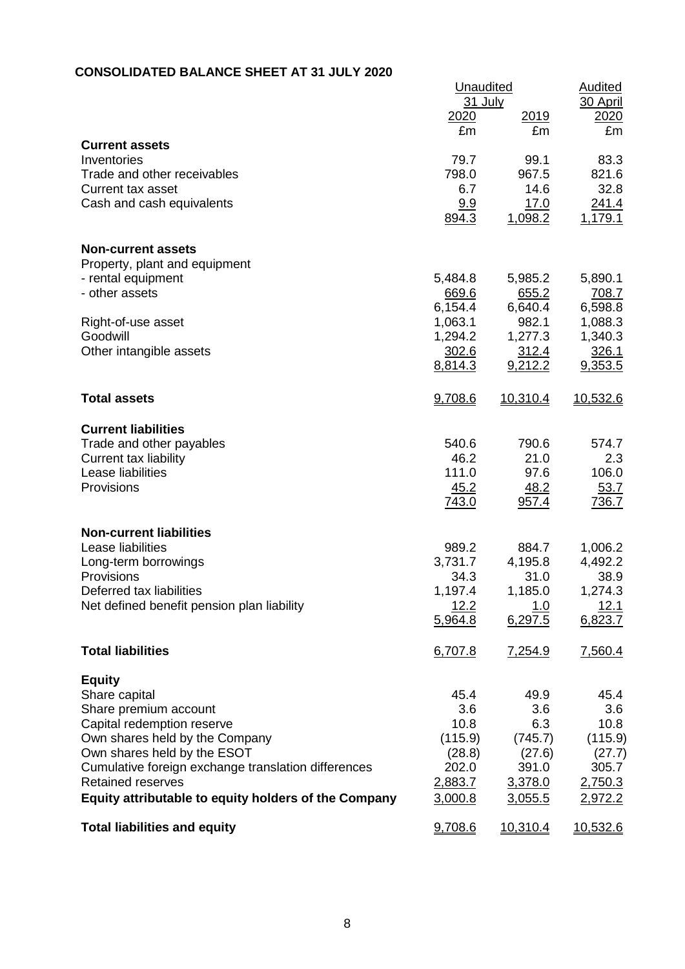# **CONSOLIDATED BALANCE SHEET AT 31 JULY 2020**

|                                                                                 | Unaudited<br>31 July<br>2020 | 2019            | Audited<br>30 April<br>2020 |  |
|---------------------------------------------------------------------------------|------------------------------|-----------------|-----------------------------|--|
|                                                                                 | £m                           | £m              | £m                          |  |
| <b>Current assets</b><br>Inventories                                            | 79.7                         | 99.1            | 83.3                        |  |
| Trade and other receivables                                                     | 798.0                        | 967.5           | 821.6                       |  |
| Current tax asset                                                               | 6.7                          | 14.6            | 32.8                        |  |
| Cash and cash equivalents                                                       | 9.9                          | 17.0            | 241.4                       |  |
|                                                                                 | 894.3                        | 1,098.2         | 1,179.1                     |  |
| <b>Non-current assets</b>                                                       |                              |                 |                             |  |
| Property, plant and equipment                                                   |                              |                 |                             |  |
| - rental equipment                                                              | 5,484.8                      | 5,985.2         | 5,890.1                     |  |
| - other assets                                                                  | 669.6                        | 655.2           | 708.7                       |  |
|                                                                                 | 6,154.4                      | 6,640.4         | 6,598.8                     |  |
| Right-of-use asset                                                              | 1,063.1                      | 982.1           | 1,088.3                     |  |
| Goodwill                                                                        | 1,294.2                      | 1,277.3         | 1,340.3                     |  |
| Other intangible assets                                                         | 302.6                        | 312.4           | 326.1                       |  |
|                                                                                 | 8,814.3                      | 9,212.2         | 9,353.5                     |  |
| <b>Total assets</b>                                                             | 9,708.6                      | <u>10,310.4</u> | 10,532.6                    |  |
| <b>Current liabilities</b>                                                      |                              |                 |                             |  |
| Trade and other payables                                                        | 540.6                        | 790.6           | 574.7                       |  |
| Current tax liability                                                           | 46.2                         | 21.0            | 2.3                         |  |
| Lease liabilities                                                               | 111.0                        | 97.6            | 106.0                       |  |
| Provisions                                                                      | 45.2<br>743.0                | 48.2<br>957.4   | 53.7<br>736.7               |  |
|                                                                                 |                              |                 |                             |  |
| <b>Non-current liabilities</b>                                                  |                              |                 |                             |  |
| Lease liabilities                                                               | 989.2                        | 884.7           | 1,006.2                     |  |
| Long-term borrowings                                                            | 3,731.7                      | 4,195.8         | 4,492.2                     |  |
| Provisions                                                                      | 34.3                         | 31.0            | 38.9                        |  |
| Deferred tax liabilities                                                        | 1,197.4                      | 1,185.0         | 1,274.3                     |  |
| Net defined benefit pension plan liability                                      | 12.2<br>5,964.8              | 1.0<br>6,297.5  | 12.1<br>6,823.7             |  |
|                                                                                 |                              |                 |                             |  |
| <b>Total liabilities</b>                                                        | 6,707.8                      | 7,254.9         | 7,560.4                     |  |
| <b>Equity</b>                                                                   |                              |                 |                             |  |
| Share capital                                                                   | 45.4                         | 49.9            | 45.4                        |  |
| Share premium account                                                           | 3.6                          | 3.6             | 3.6                         |  |
| Capital redemption reserve                                                      | 10.8                         | 6.3             | 10.8                        |  |
| Own shares held by the Company                                                  | (115.9)                      | (745.7)         | (115.9)                     |  |
| Own shares held by the ESOT                                                     | (28.8)<br>202.0              | (27.6)<br>391.0 | (27.7)<br>305.7             |  |
| Cumulative foreign exchange translation differences<br><b>Retained reserves</b> | 2,883.7                      | 3,378.0         | 2,750.3                     |  |
| Equity attributable to equity holders of the Company                            | 3,000.8                      | 3,055.5         | 2,972.2                     |  |
|                                                                                 |                              |                 |                             |  |
| <b>Total liabilities and equity</b>                                             | 9,708.6                      | 10,310.4        | 10,532.6                    |  |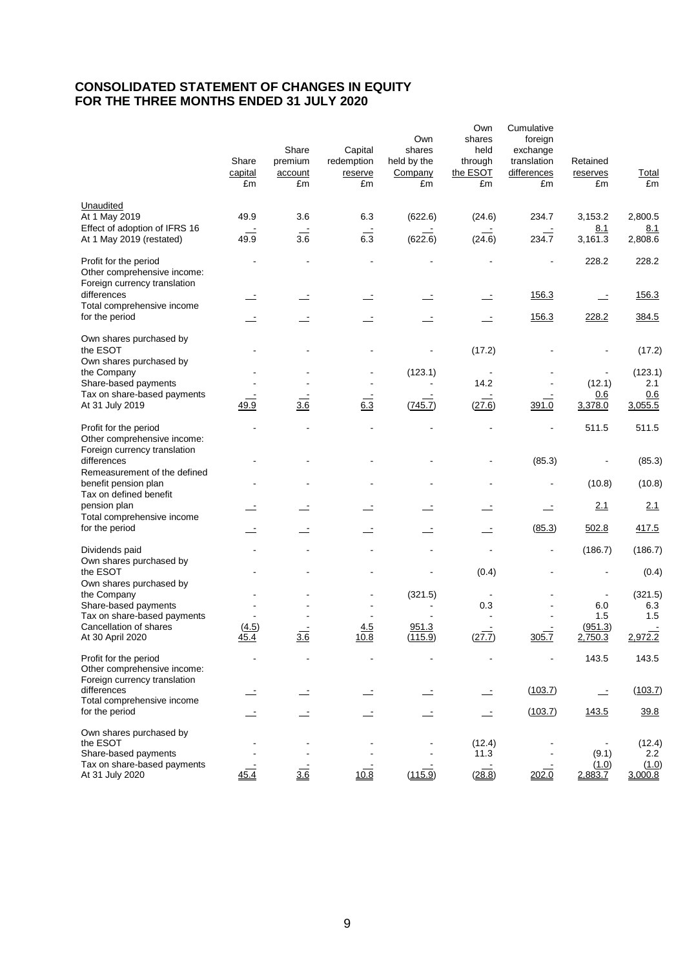# **CONSOLIDATED STATEMENT OF CHANGES IN EQUITY FOR THE THREE MONTHS ENDED 31 JULY 2020**

|                                                                                      | Share<br>capital<br>£m | Share<br>premium<br>account<br>£m | Capital<br>redemption<br>reserve<br>£m | Own<br>shares<br>held by the<br>Company<br>£m | Own<br>shares<br>held<br>through<br>the ESOT<br>£m | Cumulative<br>foreign<br>exchange<br>translation<br>differences<br>£m | Retained<br>reserves<br>£m | <u>Total</u><br>£m  |
|--------------------------------------------------------------------------------------|------------------------|-----------------------------------|----------------------------------------|-----------------------------------------------|----------------------------------------------------|-----------------------------------------------------------------------|----------------------------|---------------------|
| Unaudited<br>At 1 May 2019                                                           | 49.9                   | 3.6                               | 6.3                                    | (622.6)                                       | (24.6)                                             | 234.7                                                                 | 3,153.2                    | 2,800.5             |
| Effect of adoption of IFRS 16                                                        |                        |                                   |                                        |                                               |                                                    |                                                                       | 8.1                        | 8.1                 |
| At 1 May 2019 (restated)                                                             | 49.9                   | 3.6                               | $6.\overline{3}$                       | (622.6)                                       | (24.6)                                             | 234.7                                                                 | 3,161.3                    | 2,808.6             |
| Profit for the period<br>Other comprehensive income:<br>Foreign currency translation |                        |                                   |                                        |                                               |                                                    |                                                                       | 228.2                      | 228.2               |
| differences<br>Total comprehensive income                                            |                        |                                   |                                        |                                               |                                                    | 156.3                                                                 | $\equiv$                   | 156.3               |
| for the period                                                                       |                        |                                   |                                        |                                               |                                                    | 156.3                                                                 | 228.2                      | 384.5               |
| Own shares purchased by<br>the ESOT<br>Own shares purchased by                       |                        |                                   |                                        |                                               | (17.2)                                             |                                                                       |                            | (17.2)              |
| the Company                                                                          |                        |                                   |                                        | (123.1)                                       |                                                    |                                                                       |                            | (123.1)             |
| Share-based payments<br>Tax on share-based payments                                  |                        |                                   |                                        |                                               | 14.2                                               |                                                                       | (12.1)<br>0.6              | 2.1<br>0.6          |
| At 31 July 2019                                                                      | 49.9                   | 3.6                               | 6.3                                    | (745.7)                                       | (27.6)                                             | 391.0                                                                 | 3,378.0                    | 3,055.5             |
| Profit for the period<br>Other comprehensive income:                                 |                        |                                   |                                        |                                               |                                                    |                                                                       | 511.5                      | 511.5               |
| Foreign currency translation<br>differences                                          |                        |                                   |                                        |                                               |                                                    | (85.3)                                                                |                            | (85.3)              |
| Remeasurement of the defined<br>benefit pension plan                                 |                        |                                   |                                        |                                               |                                                    |                                                                       | (10.8)                     | (10.8)              |
| Tax on defined benefit<br>pension plan                                               |                        |                                   |                                        |                                               |                                                    |                                                                       | 2.1                        | 2.1                 |
| Total comprehensive income<br>for the period                                         |                        |                                   |                                        |                                               | $\equiv$                                           | (85.3)                                                                | 502.8                      | 417.5               |
| Dividends paid                                                                       |                        |                                   |                                        |                                               |                                                    |                                                                       | (186.7)                    | (186.7)             |
| Own shares purchased by<br>the ESOT                                                  |                        |                                   |                                        |                                               | (0.4)                                              |                                                                       |                            | (0.4)               |
| Own shares purchased by<br>the Company                                               |                        |                                   |                                        | (321.5)                                       |                                                    |                                                                       |                            | (321.5)             |
| Share-based payments                                                                 |                        |                                   |                                        |                                               | 0.3                                                |                                                                       | 6.0                        | 6.3                 |
| Tax on share-based payments<br>Cancellation of shares                                |                        |                                   |                                        |                                               |                                                    |                                                                       | 1.5                        | 1.5                 |
| At 30 April 2020                                                                     | (4.5)<br>45.4          | 3.6                               | 4.5<br>10.8                            | 951.3<br>(115.9)                              | (27.7)                                             | 305.7                                                                 | (951.3)<br>2,750.3         | $\frac{1}{2,972.2}$ |
| Profit for the period<br>Other comprehensive income:<br>Foreign currency translation |                        |                                   |                                        |                                               |                                                    |                                                                       | 143.5                      | 143.5               |
| differences                                                                          |                        |                                   |                                        |                                               |                                                    | (103.7)                                                               | $\mathbf{r}$               | (103.7)             |
| Total comprehensive income<br>for the period                                         |                        |                                   |                                        |                                               |                                                    | (103.7)                                                               | 143.5                      | 39.8                |
| Own shares purchased by                                                              |                        |                                   |                                        |                                               |                                                    |                                                                       |                            |                     |
| the ESOT                                                                             |                        |                                   |                                        |                                               | (12.4)                                             |                                                                       |                            | (12.4)              |
| Share-based payments<br>Tax on share-based payments                                  |                        |                                   |                                        |                                               | 11.3                                               |                                                                       | (9.1)<br>(1.0)             | 2.2<br>(1.0)        |
| At 31 July 2020                                                                      | 45.4                   | 36                                | 10.8                                   | (115.9)                                       | (28.8)                                             | 202.0                                                                 | 2,883.7                    | 3,000.8             |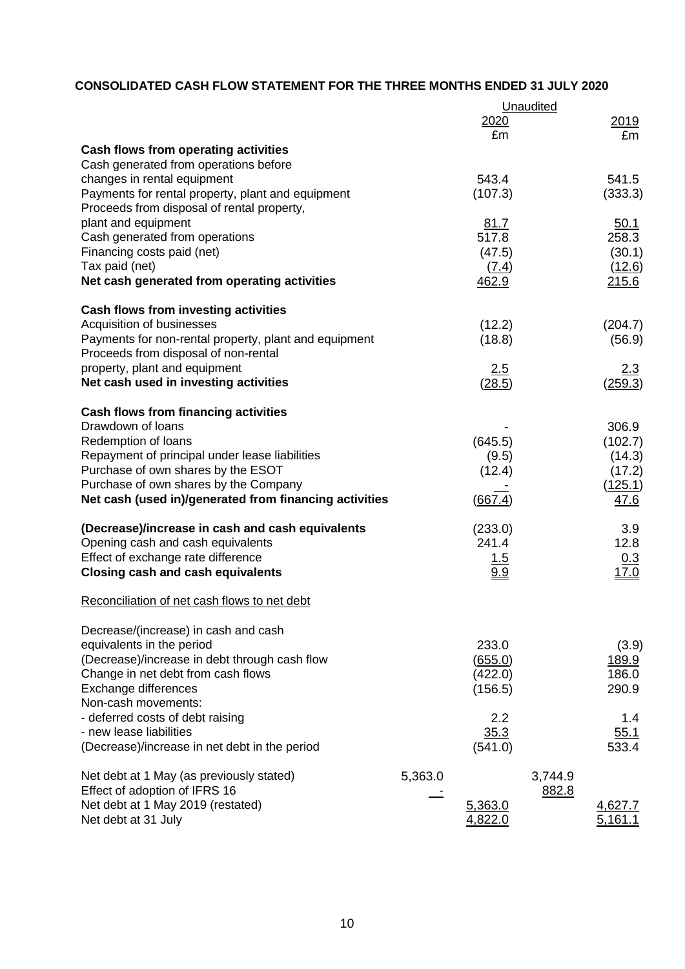# **CONSOLIDATED CASH FLOW STATEMENT FOR THE THREE MONTHS ENDED 31 JULY 2020**

|                                                        | Unaudited         |                |
|--------------------------------------------------------|-------------------|----------------|
|                                                        | 2020              | 2019           |
|                                                        | £m                | £m             |
| <b>Cash flows from operating activities</b>            |                   |                |
| Cash generated from operations before                  |                   |                |
| changes in rental equipment                            | 543.4             | 541.5          |
| Payments for rental property, plant and equipment      | (107.3)           | (333.3)        |
| Proceeds from disposal of rental property,             |                   |                |
| plant and equipment                                    | 81.7              | 50.1           |
| Cash generated from operations                         | 517.8             | 258.3          |
| Financing costs paid (net)                             | (47.5)            | (30.1)         |
| Tax paid (net)                                         | (7.4)             | (12.6)         |
| Net cash generated from operating activities           | 462.9             | 215.6          |
| Cash flows from investing activities                   |                   |                |
| Acquisition of businesses                              | (12.2)            | (204.7)        |
| Payments for non-rental property, plant and equipment  | (18.8)            | (56.9)         |
| Proceeds from disposal of non-rental                   |                   |                |
| property, plant and equipment                          | 2.5               | 2.3            |
| Net cash used in investing activities                  | (28.5)            | (259.3)        |
|                                                        |                   |                |
| Cash flows from financing activities                   |                   |                |
| Drawdown of loans                                      |                   | 306.9          |
| Redemption of loans                                    | (645.5)           | (102.7)        |
| Repayment of principal under lease liabilities         | (9.5)             | (14.3)         |
| Purchase of own shares by the ESOT                     | (12.4)            | (17.2)         |
| Purchase of own shares by the Company                  |                   | (125.1)        |
| Net cash (used in)/generated from financing activities | (667.4)           | 47.6           |
| (Decrease)/increase in cash and cash equivalents       | (233.0)           | 3.9            |
| Opening cash and cash equivalents                      | 241.4             | 12.8           |
| Effect of exchange rate difference                     |                   |                |
| <b>Closing cash and cash equivalents</b>               | $\frac{1.5}{9.9}$ | 0.3<br>17.0    |
|                                                        |                   |                |
| Reconciliation of net cash flows to net debt           |                   |                |
| Decrease/(increase) in cash and cash                   |                   |                |
| equivalents in the period                              | 233.0             | (3.9)          |
| (Decrease)/increase in debt through cash flow          | <u>(655.0)</u>    | <u>189.9</u>   |
| Change in net debt from cash flows                     | (422.0)           | 186.0          |
| Exchange differences                                   | (156.5)           | 290.9          |
| Non-cash movements:                                    |                   |                |
| - deferred costs of debt raising                       | 2.2               | 1.4            |
| - new lease liabilities                                | 35.3              | 55.1           |
| (Decrease)/increase in net debt in the period          | (541.0)           | 533.4          |
|                                                        |                   |                |
| Net debt at 1 May (as previously stated)               | 5,363.0           | 3,744.9        |
| Effect of adoption of IFRS 16                          |                   | 882.8          |
| Net debt at 1 May 2019 (restated)                      | 5,363.0           | 4,627.7        |
| Net debt at 31 July                                    | 4,822.0           | <u>5,161.1</u> |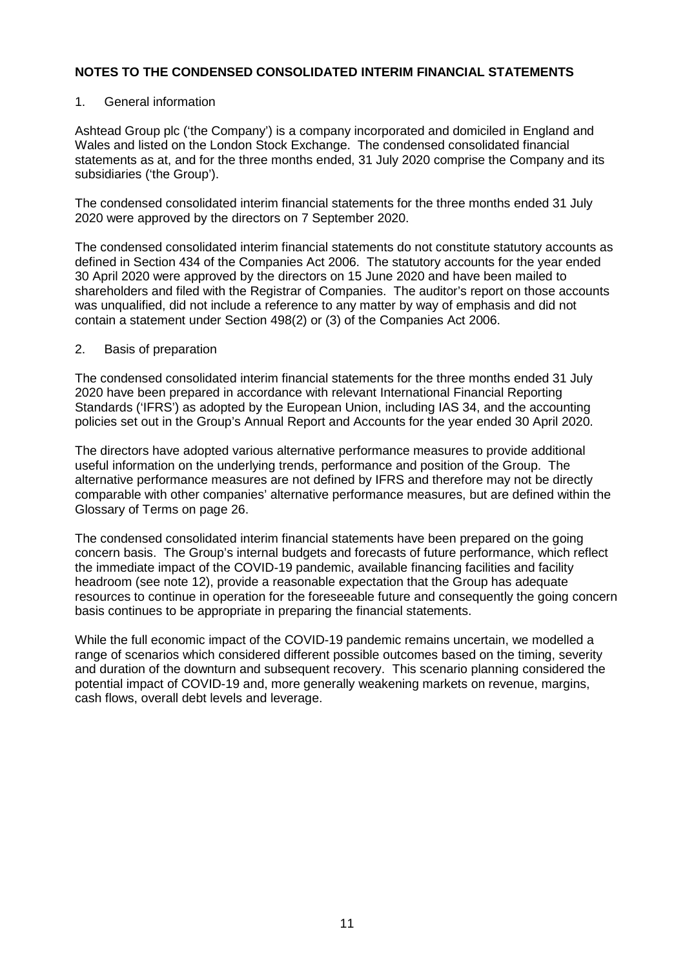## 1. General information

Ashtead Group plc ('the Company') is a company incorporated and domiciled in England and Wales and listed on the London Stock Exchange. The condensed consolidated financial statements as at, and for the three months ended, 31 July 2020 comprise the Company and its subsidiaries ('the Group').

The condensed consolidated interim financial statements for the three months ended 31 July 2020 were approved by the directors on 7 September 2020.

The condensed consolidated interim financial statements do not constitute statutory accounts as defined in Section 434 of the Companies Act 2006. The statutory accounts for the year ended 30 April 2020 were approved by the directors on 15 June 2020 and have been mailed to shareholders and filed with the Registrar of Companies. The auditor's report on those accounts was unqualified, did not include a reference to any matter by way of emphasis and did not contain a statement under Section 498(2) or (3) of the Companies Act 2006.

## 2. Basis of preparation

The condensed consolidated interim financial statements for the three months ended 31 July 2020 have been prepared in accordance with relevant International Financial Reporting Standards ('IFRS') as adopted by the European Union, including IAS 34, and the accounting policies set out in the Group's Annual Report and Accounts for the year ended 30 April 2020.

The directors have adopted various alternative performance measures to provide additional useful information on the underlying trends, performance and position of the Group. The alternative performance measures are not defined by IFRS and therefore may not be directly comparable with other companies' alternative performance measures, but are defined within the Glossary of Terms on page 26.

The condensed consolidated interim financial statements have been prepared on the going concern basis. The Group's internal budgets and forecasts of future performance, which reflect the immediate impact of the COVID-19 pandemic, available financing facilities and facility headroom (see note 12), provide a reasonable expectation that the Group has adequate resources to continue in operation for the foreseeable future and consequently the going concern basis continues to be appropriate in preparing the financial statements.

While the full economic impact of the COVID-19 pandemic remains uncertain, we modelled a range of scenarios which considered different possible outcomes based on the timing, severity and duration of the downturn and subsequent recovery. This scenario planning considered the potential impact of COVID-19 and, more generally weakening markets on revenue, margins, cash flows, overall debt levels and leverage.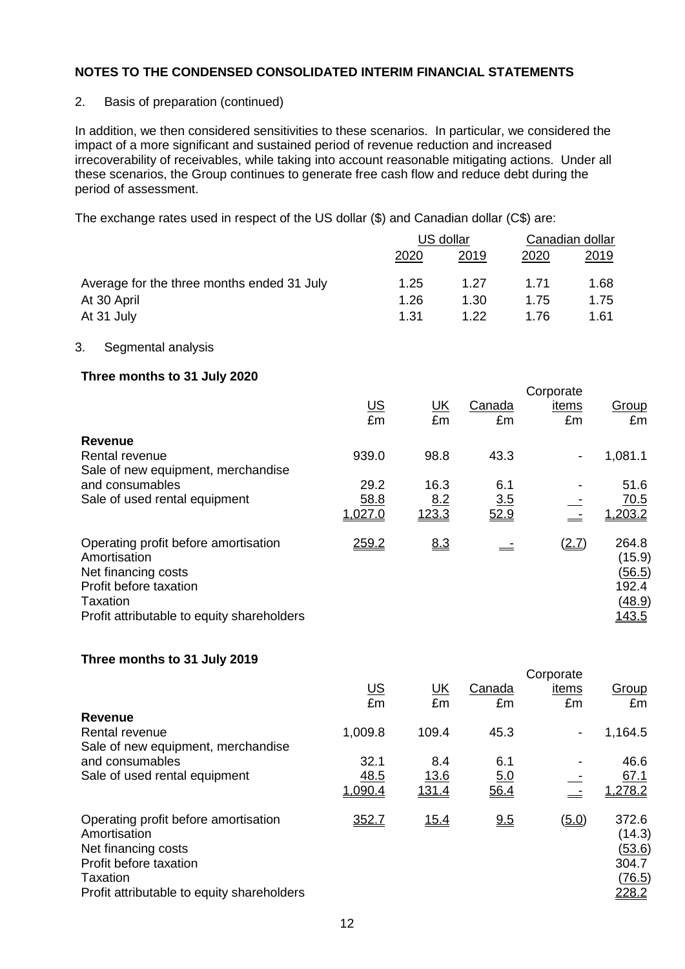2. Basis of preparation (continued)

In addition, we then considered sensitivities to these scenarios. In particular, we considered the impact of a more significant and sustained period of revenue reduction and increased irrecoverability of receivables, while taking into account reasonable mitigating actions. Under all these scenarios, the Group continues to generate free cash flow and reduce debt during the period of assessment.

The exchange rates used in respect of the US dollar (\$) and Canadian dollar (C\$) are:

|                                            | US dollar |      | Canadian dollar |             |
|--------------------------------------------|-----------|------|-----------------|-------------|
|                                            | 2020      | 2019 | 2020            | <u>2019</u> |
| Average for the three months ended 31 July | 1.25      | 1.27 | 1.71            | 1.68        |
| At 30 April                                | 1.26      | 1.30 | 1.75            | 1.75        |
| At 31 July                                 | 1.31      | 1.22 | 1 76            | 1.61        |

# 3. Segmental analysis

# **Three months to 31 July 2020**

|                                                      |                                                |              |        | Corporate                |                 |
|------------------------------------------------------|------------------------------------------------|--------------|--------|--------------------------|-----------------|
|                                                      | $\underline{\mathsf{U}}\underline{\mathsf{S}}$ | <u>UК</u>    | Canada | items                    | Group           |
|                                                      | £m                                             | £m           | £m     | £m                       | £m              |
| <b>Revenue</b>                                       |                                                |              |        |                          |                 |
| Rental revenue                                       | 939.0                                          | 98.8         | 43.3   | $\overline{\phantom{a}}$ | 1,081.1         |
| Sale of new equipment, merchandise                   |                                                |              |        |                          |                 |
| and consumables                                      | 29.2                                           | 16.3         | 6.1    |                          | 51.6            |
| Sale of used rental equipment                        | 58.8                                           | <u>8.2</u>   | 3.5    |                          | 70.5            |
|                                                      | 1,027.0                                        | <u>123.3</u> | 52.9   |                          | 1,203.2         |
| Operating profit before amortisation<br>Amortisation | 259.2                                          | 8.3          |        | (2.7)                    | 264.8<br>(15.9) |
| Net financing costs                                  |                                                |              |        |                          | (56.5)          |
| Profit before taxation                               |                                                |              |        |                          | 192.4           |
| Taxation                                             |                                                |              |        |                          | <u>(48.9)</u>   |
| Profit attributable to equity shareholders           |                                                |              |        |                          | 143.5           |

## **Three months to 31 July 2019**

|                                                                                                                                                                 |                                                |               |            | Corporate                |                                                                     |
|-----------------------------------------------------------------------------------------------------------------------------------------------------------------|------------------------------------------------|---------------|------------|--------------------------|---------------------------------------------------------------------|
|                                                                                                                                                                 | $\underline{\mathsf{U}}\underline{\mathsf{S}}$ | <u>UК</u>     | Canada     | items                    | Group                                                               |
|                                                                                                                                                                 | £m                                             | £m            | £m         | £m                       | £m                                                                  |
| Revenue                                                                                                                                                         |                                                |               |            |                          |                                                                     |
| Rental revenue                                                                                                                                                  | 1,009.8                                        | 109.4         | 45.3       | $\overline{\phantom{a}}$ | 1,164.5                                                             |
| Sale of new equipment, merchandise                                                                                                                              |                                                |               |            |                          |                                                                     |
| and consumables                                                                                                                                                 | 32.1                                           | 8.4           | 6.1        |                          | 46.6                                                                |
| Sale of used rental equipment                                                                                                                                   | 48.5                                           | <u>13.6</u>   | <u>5.0</u> |                          | 67.1                                                                |
|                                                                                                                                                                 | 1,090.4                                        | <u> 131.4</u> | 56.4       |                          | 1,278.2                                                             |
| Operating profit before amortisation<br>Amortisation<br>Net financing costs<br>Profit before taxation<br>Taxation<br>Profit attributable to equity shareholders | 352.7                                          | 15.4          | 9.5        | (5.0)                    | 372.6<br>(14.3)<br>(53.6)<br>304.7<br><u>(76.5)</u><br><u>228.2</u> |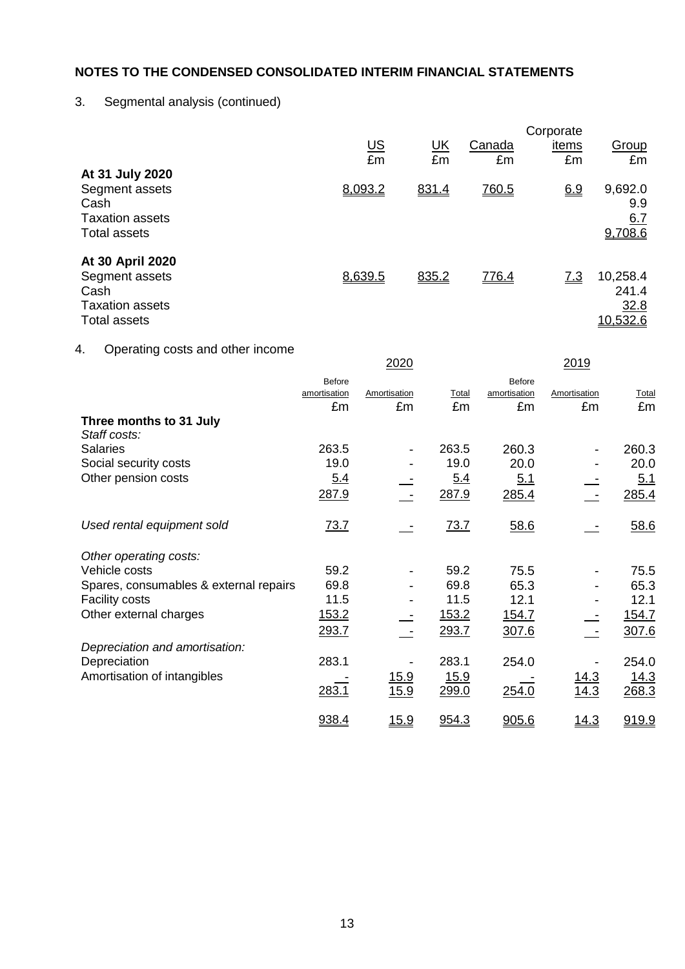# 3. Segmental analysis (continued)

| At 31 July 2020                                                                      | <u>US</u><br>£m | $\underline{\mathsf{UK}}$<br>£m | Canada<br>£m | Corporate<br>items<br>£m | Group<br>£m                           |
|--------------------------------------------------------------------------------------|-----------------|---------------------------------|--------------|--------------------------|---------------------------------------|
| Segment assets<br>Cash<br><b>Taxation assets</b><br><b>Total assets</b>              | 8.093.2         | 831.4                           | 760.5        | 6.9                      | 9,692.0<br>9.9<br>6.7<br>9,708.6      |
| At 30 April 2020<br>Segment assets<br>Cash<br><b>Taxation assets</b><br>Total assets | 8.639.5         | 835.2                           | 776.4        | 7.3                      | 10,258.4<br>241.4<br>32.8<br>10,532.6 |

# 4. Operating costs and other income

|                                         |                               | <u> 2020</u> |              |                               | <u> 2019 </u> |              |
|-----------------------------------------|-------------------------------|--------------|--------------|-------------------------------|---------------|--------------|
|                                         | <b>Before</b><br>amortisation | Amortisation | Total        | <b>Before</b><br>amortisation | Amortisation  | Total        |
|                                         | £m                            | £m           | £m           | £m                            | £m            | £m           |
| Three months to 31 July<br>Staff costs: |                               |              |              |                               |               |              |
| <b>Salaries</b>                         | 263.5                         |              | 263.5        | 260.3                         |               | 260.3        |
| Social security costs                   | 19.0                          |              | 19.0         | 20.0                          |               | 20.0         |
| Other pension costs                     | <u>5.4</u>                    |              | 5.4          | <u>5.1</u>                    |               | 5.1          |
|                                         | 287.9                         |              | 287.9        | 285.4                         |               | 285.4        |
| Used rental equipment sold              | 73.7                          |              | 73.7         | 58.6                          |               | 58.6         |
| Other operating costs:                  |                               |              |              |                               |               |              |
| Vehicle costs                           | 59.2                          |              | 59.2         | 75.5                          |               | 75.5         |
| Spares, consumables & external repairs  | 69.8                          |              | 69.8         | 65.3                          |               | 65.3         |
| <b>Facility costs</b>                   | 11.5                          |              | 11.5         | 12.1                          |               | 12.1         |
| Other external charges                  | <u>153.2</u>                  |              | <u>153.2</u> | <u>154.7</u>                  |               | <u>154.7</u> |
|                                         | 293.7                         |              | 293.7        | 307.6                         |               | 307.6        |
| Depreciation and amortisation:          |                               |              |              |                               |               |              |
| Depreciation                            | 283.1                         |              | 283.1        | 254.0                         |               | 254.0        |
| Amortisation of intangibles             |                               | <u> 15.9</u> | <u>15.9</u>  |                               | <u> 14.3</u>  | <u> 14.3</u> |
|                                         | 283.1                         | 15.9         | 299.0        | 254.0                         | <u>14.3</u>   | 268.3        |
|                                         | 938.4                         | <u>15.9</u>  | 954.3        | 905.6                         | <u> 14.3</u>  | 919.9        |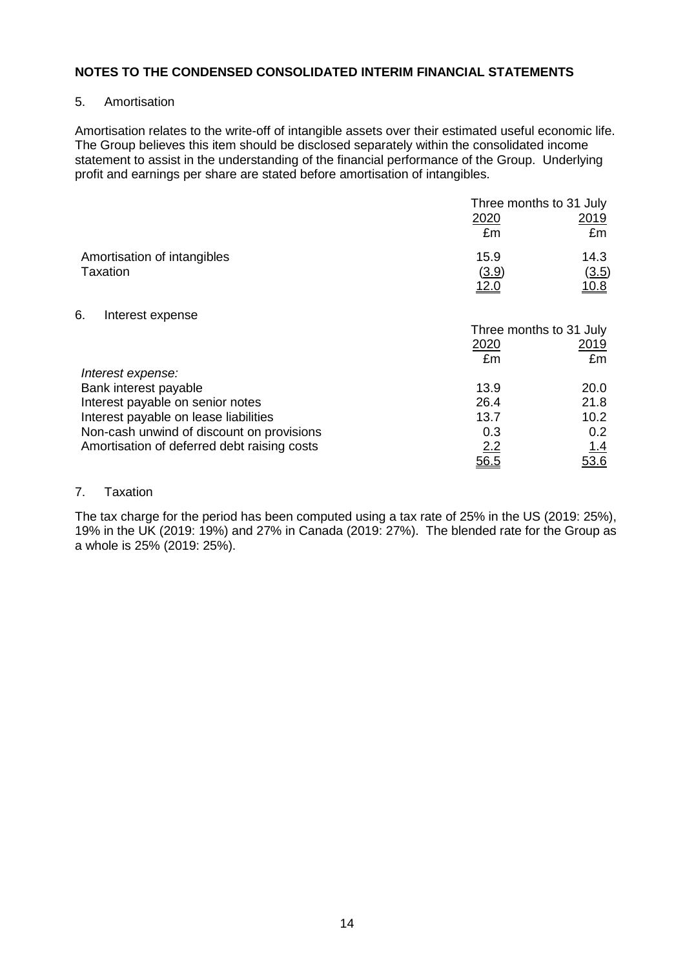## 5. Amortisation

Amortisation relates to the write-off of intangible assets over their estimated useful economic life. The Group believes this item should be disclosed separately within the consolidated income statement to assist in the understanding of the financial performance of the Group. Underlying profit and earnings per share are stated before amortisation of intangibles.

| 2020<br>£m                                | Three months to 31 July<br><u>2019</u><br>£m       |
|-------------------------------------------|----------------------------------------------------|
| 15.9<br><u>(3.9)</u><br>12.0              | 14.3<br>(3.5)<br>10.8                              |
| Three months to 31 July<br>2020           | <u> 2019 </u><br>£m                                |
| 13.9<br>26.4<br>13.7<br>0.3<br><u>2.2</u> | 20.0<br>21.8<br>10.2<br>0.2<br><u> 1.4</u><br>53.6 |
|                                           | £m                                                 |

#### 7. Taxation

The tax charge for the period has been computed using a tax rate of 25% in the US (2019: 25%), 19% in the UK (2019: 19%) and 27% in Canada (2019: 27%). The blended rate for the Group as a whole is 25% (2019: 25%).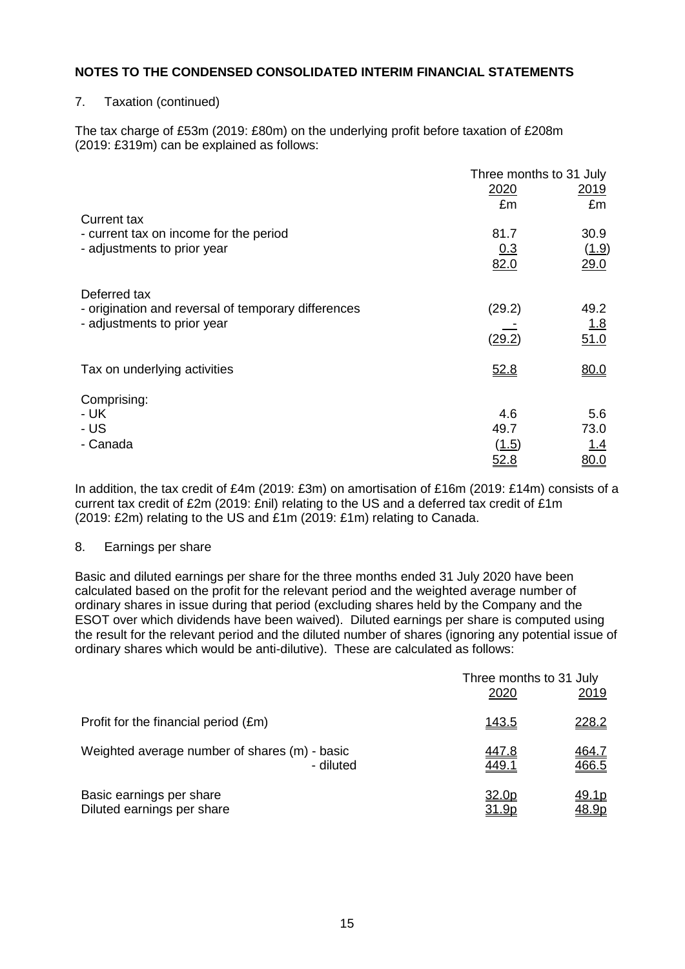## 7. Taxation (continued)

The tax charge of £53m (2019: £80m) on the underlying profit before taxation of £208m (2019: £319m) can be explained as follows:

|                                                     | Three months to 31 July |               |
|-----------------------------------------------------|-------------------------|---------------|
|                                                     | 2020                    | <u> 2019 </u> |
|                                                     | £m                      | £m            |
| <b>Current tax</b>                                  |                         |               |
| - current tax on income for the period              | 81.7                    | 30.9          |
| - adjustments to prior year                         | 0.3                     | (1.9)         |
|                                                     | 82.0                    | 29.0          |
| Deferred tax                                        |                         |               |
| - origination and reversal of temporary differences | (29.2)                  | 49.2          |
| - adjustments to prior year                         |                         | <u>1.8</u>    |
|                                                     | (29.2)                  | 51.0          |
| Tax on underlying activities                        | 52.8                    | 80.0          |
|                                                     |                         |               |
| Comprising:                                         |                         |               |
| - UK                                                | 4.6                     | 5.6           |
| - US                                                | 49.7                    | 73.0          |
| - Canada                                            | (1.5)                   | <u>1.4</u>    |
|                                                     | 52.8                    | 80.0          |

In addition, the tax credit of £4m (2019: £3m) on amortisation of £16m (2019: £14m) consists of a current tax credit of £2m (2019: £nil) relating to the US and a deferred tax credit of £1m (2019: £2m) relating to the US and £1m (2019: £1m) relating to Canada.

#### 8. Earnings per share

Basic and diluted earnings per share for the three months ended 31 July 2020 have been calculated based on the profit for the relevant period and the weighted average number of ordinary shares in issue during that period (excluding shares held by the Company and the ESOT over which dividends have been waived). Diluted earnings per share is computed using the result for the relevant period and the diluted number of shares (ignoring any potential issue of ordinary shares which would be anti-dilutive). These are calculated as follows:

|                                                            | Three months to 31 July<br>2020 | 2019                  |
|------------------------------------------------------------|---------------------------------|-----------------------|
| Profit for the financial period (£m)                       | <u>143.5</u>                    | 228.2                 |
| Weighted average number of shares (m) - basic<br>- diluted | <u>447.8</u><br>449.1           | <u>464.7</u><br>466.5 |
| Basic earnings per share<br>Diluted earnings per share     | 32.0p<br><u>31.9p</u>           | <u>49.1p</u>          |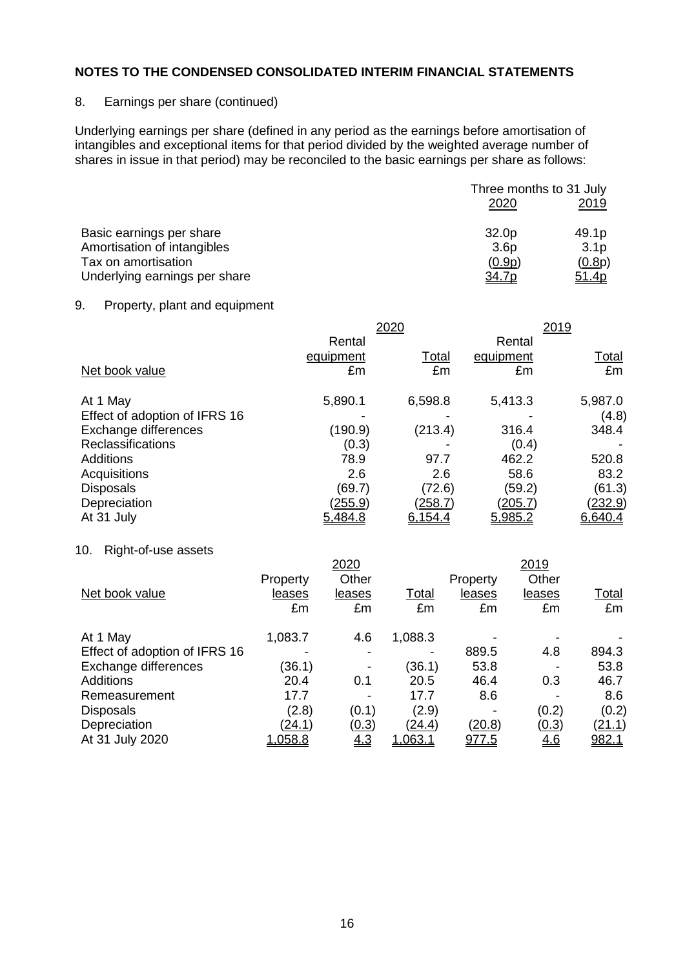### 8. Earnings per share (continued)

Underlying earnings per share (defined in any period as the earnings before amortisation of intangibles and exceptional items for that period divided by the weighted average number of shares in issue in that period) may be reconciled to the basic earnings per share as follows:

|                               | Three months to 31 July |                   |  |
|-------------------------------|-------------------------|-------------------|--|
|                               | 2020                    | 2019              |  |
| Basic earnings per share      | 32.0 <sub>p</sub>       | 49.1 <sub>p</sub> |  |
| Amortisation of intangibles   | 3.6 <sub>p</sub>        | 3.1 <sub>p</sub>  |  |
| Tax on amortisation           | (0.9p)                  | (0.8p)            |  |
| Underlying earnings per share | <u>34.7p</u>            | <u>51.4p</u>      |  |

# 9. Property, plant and equipment

|                               |                | 2020           |                |                |  |
|-------------------------------|----------------|----------------|----------------|----------------|--|
|                               | Rental         |                | Rental         |                |  |
|                               | equipment      | Total          | equipment      | <u>Total</u>   |  |
| Net book value                | £m             | £m             | £m             | £m             |  |
| At 1 May                      | 5,890.1        | 6,598.8        | 5,413.3        | 5,987.0        |  |
| Effect of adoption of IFRS 16 |                |                |                | (4.8)          |  |
| Exchange differences          | (190.9)        | (213.4)        | 316.4          | 348.4          |  |
| <b>Reclassifications</b>      | (0.3)          |                | (0.4)          |                |  |
| <b>Additions</b>              | 78.9           | 97.7           | 462.2          | 520.8          |  |
| Acquisitions                  | 2.6            | 2.6            | 58.6           | 83.2           |  |
| <b>Disposals</b>              | (69.7)         | (72.6)         | (59.2)         | (61.3)         |  |
| Depreciation                  | <u>(255.9)</u> | <u>(258.7)</u> | <u>(205.7)</u> | <u>(232.9)</u> |  |
| At 31 July                    | 5,484.8        | 6,154.4        | 5,985.2        | 6,640.4        |  |

### 10. Right-of-use assets

|                               |                | 2020       |         |          | 2019   |              |
|-------------------------------|----------------|------------|---------|----------|--------|--------------|
|                               | Property       | Other      |         | Property | Other  |              |
| Net book value                | leases         | leases     | Total   | leases   | leases | <u>Total</u> |
|                               | £m             | £m         | £m      | £m       | £m     | £m           |
| At 1 May                      | 1,083.7        | 4.6        | 1,088.3 |          |        |              |
| Effect of adoption of IFRS 16 |                |            |         | 889.5    | 4.8    | 894.3        |
| Exchange differences          | (36.1)         |            | (36.1)  | 53.8     |        | 53.8         |
| <b>Additions</b>              | 20.4           | 0.1        | 20.5    | 46.4     | 0.3    | 46.7         |
| Remeasurement                 | 17.7           |            | 17.7    | 8.6      |        | 8.6          |
| <b>Disposals</b>              | (2.8)          | (0.1)      | (2.9)   |          | (0.2)  | (0.2)        |
| Depreciation                  | (24.1)         | (0.3)      | (24.4)  | (20.8)   | (0.3)  | (21.1)       |
| At 31 July 2020               | <u>1.058.8</u> | <u>4.3</u> | 1,063.1 | 977.5    | 46     | 982.1        |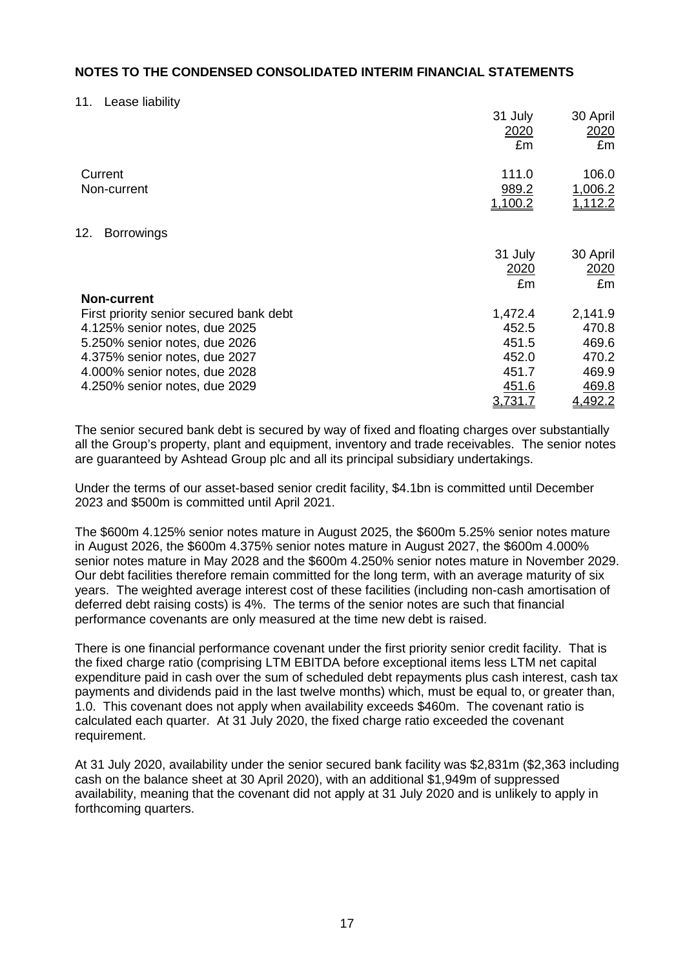#### 11. Lease liability

|                                         | 31 July<br>2020<br>£m | 30 April<br>2020<br>£m |
|-----------------------------------------|-----------------------|------------------------|
| Current                                 | 111.0                 | 106.0                  |
| Non-current                             | 989.2<br>1,100.2      | 1,006.2<br>1,112.2     |
| 12.<br><b>Borrowings</b>                |                       |                        |
|                                         | 31 July               | 30 April               |
|                                         | 2020                  | 2020                   |
|                                         | £m                    | £m                     |
| <b>Non-current</b>                      |                       |                        |
| First priority senior secured bank debt | 1,472.4               | 2,141.9                |
| 4.125% senior notes, due 2025           | 452.5                 | 470.8                  |
| 5.250% senior notes, due 2026           | 451.5                 | 469.6                  |
| 4.375% senior notes, due 2027           | 452.0                 | 470.2                  |
| 4.000% senior notes, due 2028           | 451.7                 | 469.9                  |
| 4.250% senior notes, due 2029           | 451.6                 | 469.8                  |
|                                         | 3,731.7               | 4,492.2                |

The senior secured bank debt is secured by way of fixed and floating charges over substantially all the Group's property, plant and equipment, inventory and trade receivables. The senior notes are guaranteed by Ashtead Group plc and all its principal subsidiary undertakings.

Under the terms of our asset-based senior credit facility, \$4.1bn is committed until December 2023 and \$500m is committed until April 2021.

The \$600m 4.125% senior notes mature in August 2025, the \$600m 5.25% senior notes mature in August 2026, the \$600m 4.375% senior notes mature in August 2027, the \$600m 4.000% senior notes mature in May 2028 and the \$600m 4.250% senior notes mature in November 2029. Our debt facilities therefore remain committed for the long term, with an average maturity of six years. The weighted average interest cost of these facilities (including non-cash amortisation of deferred debt raising costs) is 4%. The terms of the senior notes are such that financial performance covenants are only measured at the time new debt is raised.

There is one financial performance covenant under the first priority senior credit facility. That is the fixed charge ratio (comprising LTM EBITDA before exceptional items less LTM net capital expenditure paid in cash over the sum of scheduled debt repayments plus cash interest, cash tax payments and dividends paid in the last twelve months) which, must be equal to, or greater than, 1.0. This covenant does not apply when availability exceeds \$460m. The covenant ratio is calculated each quarter. At 31 July 2020, the fixed charge ratio exceeded the covenant requirement.

At 31 July 2020, availability under the senior secured bank facility was \$2,831m (\$2,363 including cash on the balance sheet at 30 April 2020), with an additional \$1,949m of suppressed availability, meaning that the covenant did not apply at 31 July 2020 and is unlikely to apply in forthcoming quarters.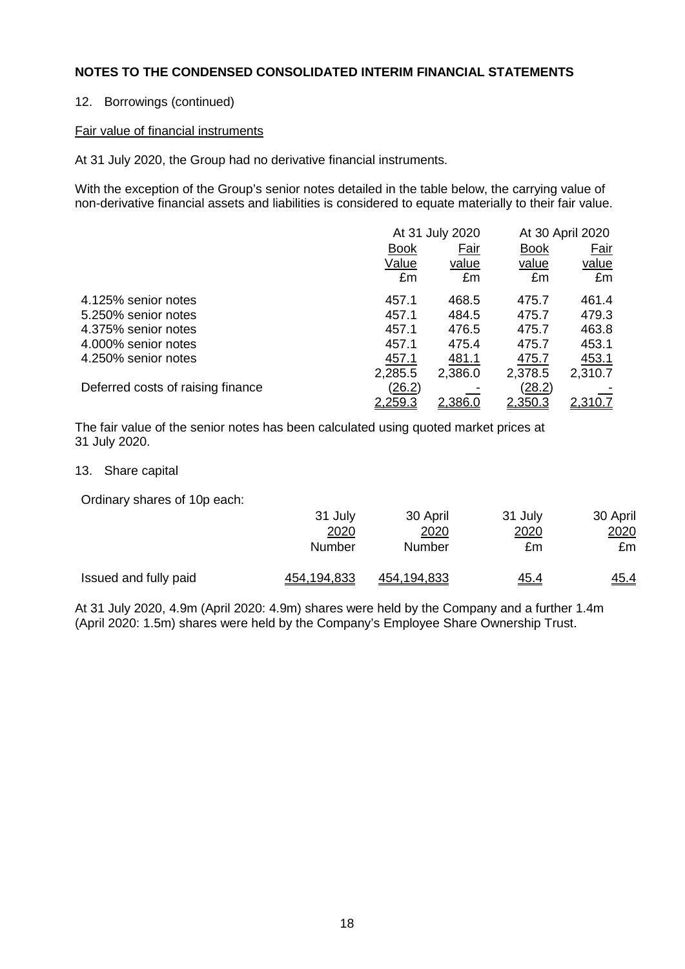## 12. Borrowings (continued)

#### Fair value of financial instruments

At 31 July 2020, the Group had no derivative financial instruments.

With the exception of the Group's senior notes detailed in the table below, the carrying value of non-derivative financial assets and liabilities is considered to equate materially to their fair value.

|                                   |             | At 31 July 2020 |         | At 30 April 2020 |
|-----------------------------------|-------------|-----------------|---------|------------------|
|                                   | <b>Book</b> | Fair            |         | Fair             |
|                                   | Value       | value           | value   | <u>value</u>     |
|                                   | £m          | £m              | £m      | £m               |
| 4.125% senior notes               | 457.1       | 468.5           | 475.7   | 461.4            |
| 5.250% senior notes               | 457.1       | 484.5           | 475.7   | 479.3            |
| 4.375% senior notes               | 457.1       | 476.5           | 475.7   | 463.8            |
| 4.000% senior notes               | 457.1       | 475.4           | 475.7   | 453.1            |
| 4.250% senior notes               | 457.1       | 481.1           | 475.7   | 453.1            |
|                                   | 2,285.5     | 2,386.0         | 2,378.5 | 2,310.7          |
| Deferred costs of raising finance | (26.2)      |                 | (28.2)  |                  |
|                                   | 2,259.3     | <u>2,386.0</u>  | 2,350.3 | <u>2.310.7</u>   |

The fair value of the senior notes has been calculated using quoted market prices at 31 July 2020.

#### 13. Share capital

Ordinary shares of 10p each:

|                       | 31 July     | 30 April           | 31 July | 30 April    |
|-----------------------|-------------|--------------------|---------|-------------|
|                       | 2020        | 2020               | 2020    | 2020        |
|                       | Number      | Number             | £m      | £m          |
| Issued and fully paid | 454,194,833 | <u>454,194,833</u> | 45.4    | <u>45.4</u> |

At 31 July 2020, 4.9m (April 2020: 4.9m) shares were held by the Company and a further 1.4m (April 2020: 1.5m) shares were held by the Company's Employee Share Ownership Trust.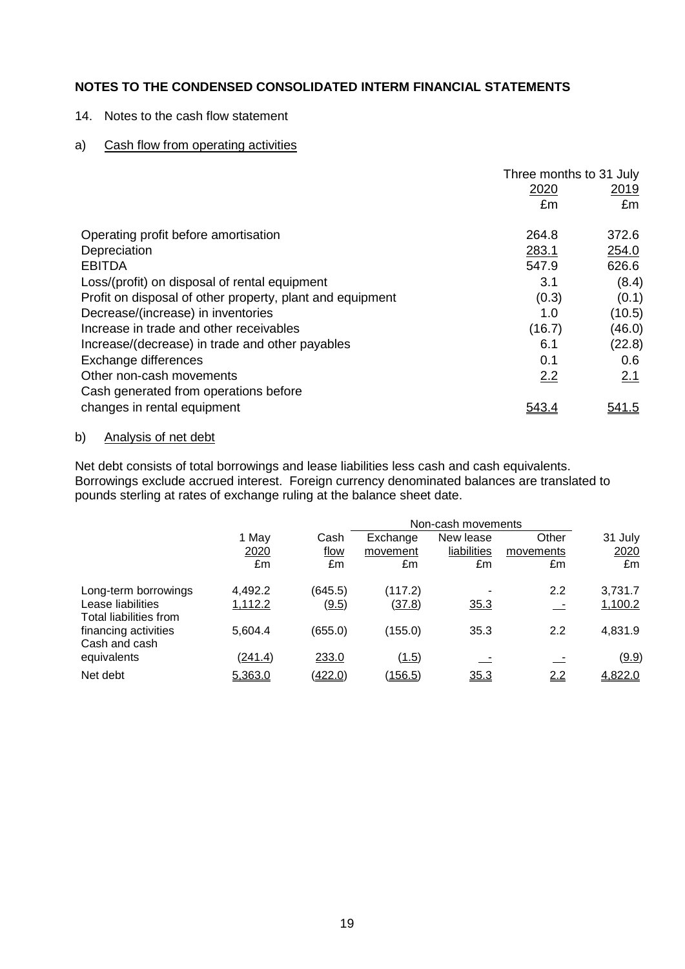## 14. Notes to the cash flow statement

# a) Cash flow from operating activities

|                                                           | Three months to 31 July |              |
|-----------------------------------------------------------|-------------------------|--------------|
|                                                           | 2020                    | 2019         |
|                                                           | £m                      | £m           |
| Operating profit before amortisation                      | 264.8                   | 372.6        |
| Depreciation                                              | 283.1                   | 254.0        |
| <b>EBITDA</b>                                             | 547.9                   | 626.6        |
| Loss/(profit) on disposal of rental equipment             | 3.1                     | (8.4)        |
| Profit on disposal of other property, plant and equipment | (0.3)                   | (0.1)        |
| Decrease/(increase) in inventories                        | 1.0                     | (10.5)       |
| Increase in trade and other receivables                   | (16.7)                  | (46.0)       |
| Increase/(decrease) in trade and other payables           | 6.1                     | (22.8)       |
| Exchange differences                                      | 0.1                     | 0.6          |
| Other non-cash movements                                  | 2.2                     | 2.1          |
| Cash generated from operations before                     |                         |              |
| changes in rental equipment                               | 543.4                   | <u>541.5</u> |

# b) Analysis of net debt

Net debt consists of total borrowings and lease liabilities less cash and cash equivalents. Borrowings exclude accrued interest. Foreign currency denominated balances are translated to pounds sterling at rates of exchange ruling at the balance sheet date.

|                                                                     |                     | Non-cash movements |                            |                                |                          |                       |  |
|---------------------------------------------------------------------|---------------------|--------------------|----------------------------|--------------------------------|--------------------------|-----------------------|--|
|                                                                     | 1 May<br>2020<br>£m | Cash<br>flow<br>£m | Exchange<br>movement<br>£m | New lease<br>liabilities<br>£m | Other<br>movements<br>£m | 31 July<br>2020<br>£m |  |
| Long-term borrowings<br>Lease liabilities<br>Total liabilities from | 4,492.2<br>1,112.2  | (645.5)<br>(9.5)   | (117.2)<br><u>(37.8)</u>   | 35.3                           | 2.2<br>$\equiv$          | 3,731.7<br>1,100.2    |  |
| financing activities<br>Cash and cash                               | 5,604.4             | (655.0)            | (155.0)                    | 35.3                           | 2.2                      | 4,831.9               |  |
| equivalents                                                         | (241.4)             | 233.0              | (1.5)                      |                                |                          | (9.9)                 |  |
| Net debt                                                            | 5,363.0             | (422.0)            | <u>(156.5)</u>             | 35.3                           | 2.2                      | 4,822.0               |  |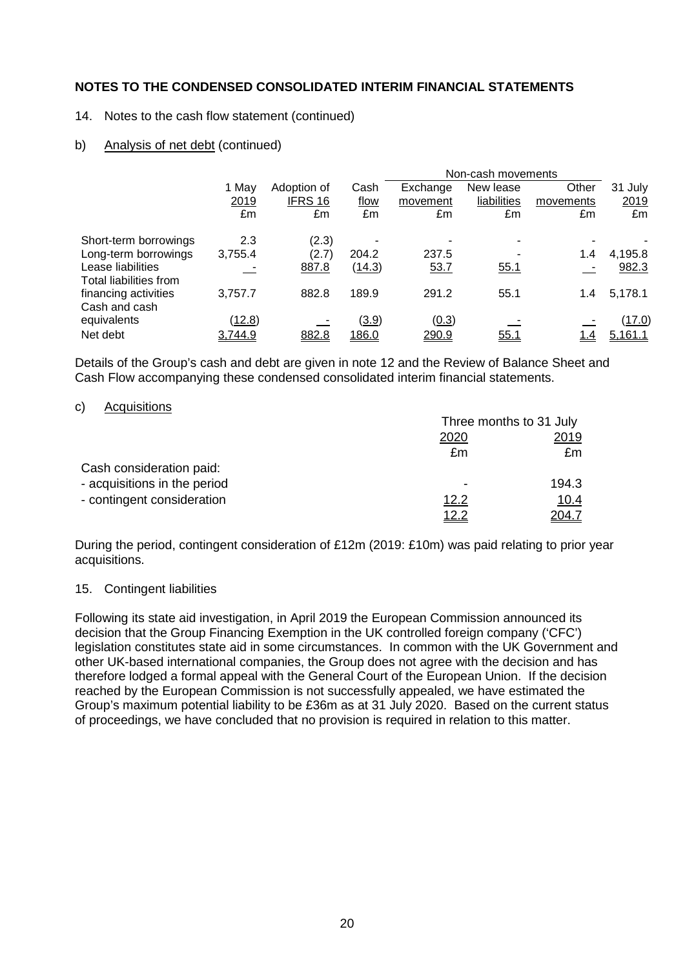## 14. Notes to the cash flow statement (continued)

## b) Analysis of net debt (continued)

|                                             |         |             |              | Non-cash movements |             |             |         |
|---------------------------------------------|---------|-------------|--------------|--------------------|-------------|-------------|---------|
|                                             | 1 May   | Adoption of | Cash         | Exchange           | New lease   | Other       | 31 July |
|                                             | 2019    | IFRS 16     | flow         | movement           | liabilities | movements   | 2019    |
|                                             | £m      | £m          | £m           | £m                 | £m          | £m          | £m      |
| Short-term borrowings                       | 2.3     | (2.3)       |              |                    | -           |             |         |
| Long-term borrowings                        | 3,755.4 | (2.7)       | 204.2        | 237.5              |             | 1.4         | 4,195.8 |
| Lease liabilities<br>Total liabilities from |         | 887.8       | (14.3)       | 53.7               | 55.1        |             | 982.3   |
| financing activities<br>Cash and cash       | 3,757.7 | 882.8       | 189.9        | 291.2              | 55.1        | 1.4         | 5,178.1 |
| equivalents                                 | (12.8)  |             | (3.9)        | (0.3)              |             |             | (17.0)  |
| Net debt                                    | 3,744.9 | 882.8       | <u>186.0</u> | 290.9              | 55.1        | <u> 1.4</u> | 5,161.1 |

Details of the Group's cash and debt are given in note 12 and the Review of Balance Sheet and Cash Flow accompanying these condensed consolidated interim financial statements.

#### c) Acquisitions

|                              |             | Three months to 31 July |  |
|------------------------------|-------------|-------------------------|--|
|                              | 2020        | 2019                    |  |
|                              | £m          | £m                      |  |
| Cash consideration paid:     |             |                         |  |
| - acquisitions in the period | -           | 194.3                   |  |
| - contingent consideration   | 12.2        | <u> 10.4</u>            |  |
|                              | <u>12.2</u> | 204.7                   |  |

During the period, contingent consideration of £12m (2019: £10m) was paid relating to prior year acquisitions.

#### 15. Contingent liabilities

Following its state aid investigation, in April 2019 the European Commission announced its decision that the Group Financing Exemption in the UK controlled foreign company ('CFC') legislation constitutes state aid in some circumstances. In common with the UK Government and other UK-based international companies, the Group does not agree with the decision and has therefore lodged a formal appeal with the General Court of the European Union. If the decision reached by the European Commission is not successfully appealed, we have estimated the Group's maximum potential liability to be £36m as at 31 July 2020. Based on the current status of proceedings, we have concluded that no provision is required in relation to this matter.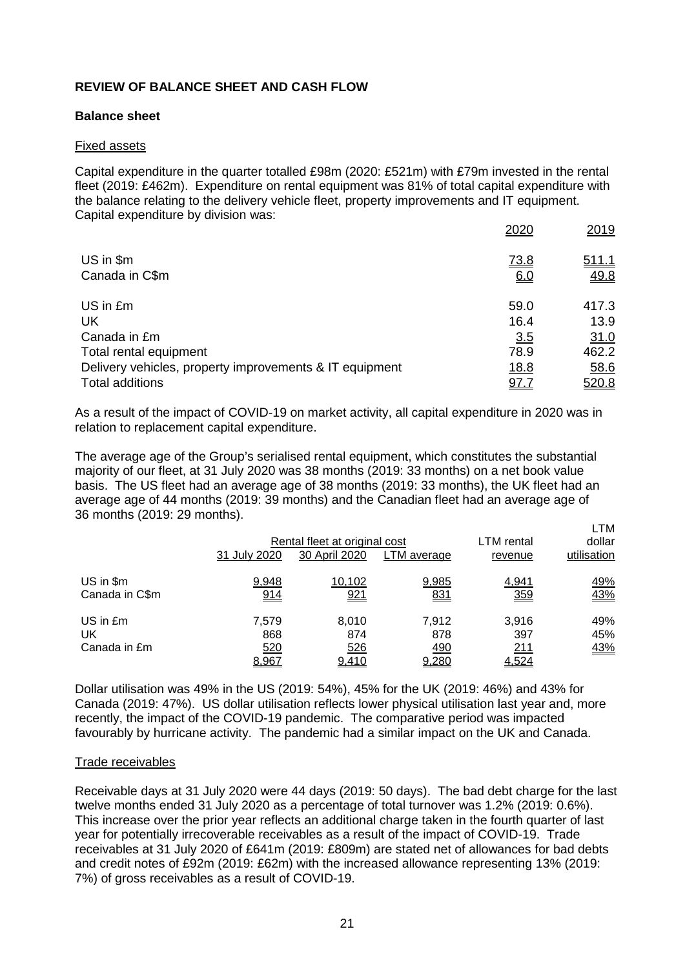# **REVIEW OF BALANCE SHEET AND CASH FLOW**

## **Balance sheet**

### Fixed assets

Capital expenditure in the quarter totalled £98m (2020: £521m) with £79m invested in the rental fleet (2019: £462m). Expenditure on rental equipment was 81% of total capital expenditure with the balance relating to the delivery vehicle fleet, property improvements and IT equipment. Capital expenditure by division was:

|                                                         | 2020        | 2019         |
|---------------------------------------------------------|-------------|--------------|
| US in \$m                                               | 73.8        | <u>511.1</u> |
| Canada in C\$m                                          | 6.0         | 49.8         |
| US in £m                                                | 59.0        | 417.3        |
| UK                                                      | 16.4        | 13.9         |
| Canada in £m                                            | 3.5         | 31.0         |
| Total rental equipment                                  | 78.9        | 462.2        |
| Delivery vehicles, property improvements & IT equipment | <u>18.8</u> | 58.6         |
| <b>Total additions</b>                                  | 97.7        | 520.8        |

As a result of the impact of COVID-19 on market activity, all capital expenditure in 2020 was in relation to replacement capital expenditure.

The average age of the Group's serialised rental equipment, which constitutes the substantial majority of our fleet, at 31 July 2020 was 38 months (2019: 33 months) on a net book value basis. The US fleet had an average age of 38 months (2019: 33 months), the UK fleet had an average age of 44 months (2019: 39 months) and the Canadian fleet had an average age of 36 months (2019: 29 months). LTM

|                                |                              | Rental fleet at original cost       |                                     |                              | LIVI<br>dollar           |  |
|--------------------------------|------------------------------|-------------------------------------|-------------------------------------|------------------------------|--------------------------|--|
|                                | 31 July 2020                 | 30 April 2020                       | LTM average                         | revenue                      | utilisation              |  |
| US in \$m<br>Canada in C\$m    | 9,948<br>914                 | 10,102<br>921                       | 9,985<br><u>831</u>                 | 4,941<br>359                 | <u>49%</u><br><u>43%</u> |  |
| US in £m<br>UK<br>Canada in £m | 7.579<br>868<br>520<br>8,967 | 8.010<br>874<br>526<br><u>9,410</u> | 7.912<br>878<br><u>490</u><br>9,280 | 3,916<br>397<br>211<br>4,524 | 49%<br>45%<br><u>43%</u> |  |

Dollar utilisation was 49% in the US (2019: 54%), 45% for the UK (2019: 46%) and 43% for Canada (2019: 47%). US dollar utilisation reflects lower physical utilisation last year and, more recently, the impact of the COVID-19 pandemic. The comparative period was impacted favourably by hurricane activity. The pandemic had a similar impact on the UK and Canada.

## Trade receivables

Receivable days at 31 July 2020 were 44 days (2019: 50 days). The bad debt charge for the last twelve months ended 31 July 2020 as a percentage of total turnover was 1.2% (2019: 0.6%). This increase over the prior year reflects an additional charge taken in the fourth quarter of last year for potentially irrecoverable receivables as a result of the impact of COVID-19. Trade receivables at 31 July 2020 of £641m (2019: £809m) are stated net of allowances for bad debts and credit notes of £92m (2019: £62m) with the increased allowance representing 13% (2019: 7%) of gross receivables as a result of COVID-19.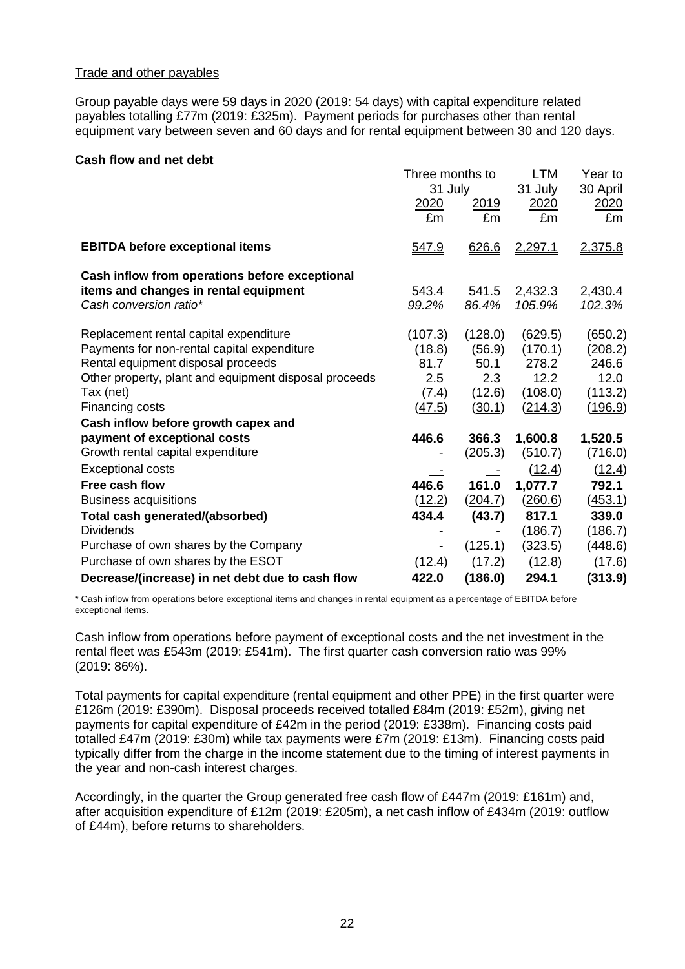## Trade and other payables

Group payable days were 59 days in 2020 (2019: 54 days) with capital expenditure related payables totalling £77m (2019: £325m). Payment periods for purchases other than rental equipment vary between seven and 60 days and for rental equipment between 30 and 120 days.

# **Cash flow and net debt**

|                                                       | Three months to              |             | LTM             | Year to                 |  |
|-------------------------------------------------------|------------------------------|-------------|-----------------|-------------------------|--|
|                                                       | 31 July<br><u>2020</u>       | <u>2019</u> | 31 July<br>2020 | 30 April<br><u>2020</u> |  |
|                                                       | £m                           | £m          | £m              | £m                      |  |
| <b>EBITDA before exceptional items</b>                | 547.9                        | 626.6       | 2,297.1         | 2,375.8                 |  |
| Cash inflow from operations before exceptional        |                              |             |                 |                         |  |
| items and changes in rental equipment                 | 543.4                        | 541.5       | 2,432.3         | 2,430.4                 |  |
| Cash conversion ratio*                                | 99.2%                        | 86.4%       | 105.9%          | 102.3%                  |  |
| Replacement rental capital expenditure                | (107.3)                      | (128.0)     | (629.5)         | (650.2)                 |  |
| Payments for non-rental capital expenditure           | (18.8)                       | (56.9)      | (170.1)         | (208.2)                 |  |
| Rental equipment disposal proceeds                    | 81.7                         | 50.1        | 278.2           | 246.6                   |  |
| Other property, plant and equipment disposal proceeds | 2.5                          | 2.3         | 12.2            | 12.0                    |  |
| Tax (net)                                             | (7.4)                        | (12.6)      | (108.0)         | (113.2)                 |  |
| Financing costs                                       | (47.5)                       | (30.1)      | (214.3)         | (196.9)                 |  |
| Cash inflow before growth capex and                   |                              |             |                 |                         |  |
| payment of exceptional costs                          | 446.6                        | 366.3       | 1,600.8         | 1,520.5                 |  |
| Growth rental capital expenditure                     |                              | (205.3)     | (510.7)         | (716.0)                 |  |
| <b>Exceptional costs</b>                              |                              |             | (12.4)          | (12.4)                  |  |
| Free cash flow                                        | 446.6                        | 161.0       | 1,077.7         | 792.1                   |  |
| <b>Business acquisitions</b>                          | (12.2)                       | (204.7)     | (260.6)         | <u>(453.1)</u>          |  |
| Total cash generated/(absorbed)                       | 434.4                        | (43.7)      | 817.1           | 339.0                   |  |
| <b>Dividends</b>                                      |                              |             | (186.7)         | (186.7)                 |  |
| Purchase of own shares by the Company                 | $\qquad \qquad \blacksquare$ | (125.1)     | (323.5)         | (448.6)                 |  |
| Purchase of own shares by the ESOT                    | (12.4)                       | (17.2)      | (12.8)          | (17.6)                  |  |
| Decrease/(increase) in net debt due to cash flow      | 422.0                        | (186.0)     | <u> 294.1</u>   | <u>(313.9)</u>          |  |

\* Cash inflow from operations before exceptional items and changes in rental equipment as a percentage of EBITDA before exceptional items.

Cash inflow from operations before payment of exceptional costs and the net investment in the rental fleet was £543m (2019: £541m). The first quarter cash conversion ratio was 99% (2019: 86%).

Total payments for capital expenditure (rental equipment and other PPE) in the first quarter were £126m (2019: £390m). Disposal proceeds received totalled £84m (2019: £52m), giving net payments for capital expenditure of £42m in the period (2019: £338m). Financing costs paid totalled £47m (2019: £30m) while tax payments were £7m (2019: £13m). Financing costs paid typically differ from the charge in the income statement due to the timing of interest payments in the year and non-cash interest charges.

Accordingly, in the quarter the Group generated free cash flow of £447m (2019: £161m) and, after acquisition expenditure of £12m (2019: £205m), a net cash inflow of £434m (2019: outflow of £44m), before returns to shareholders.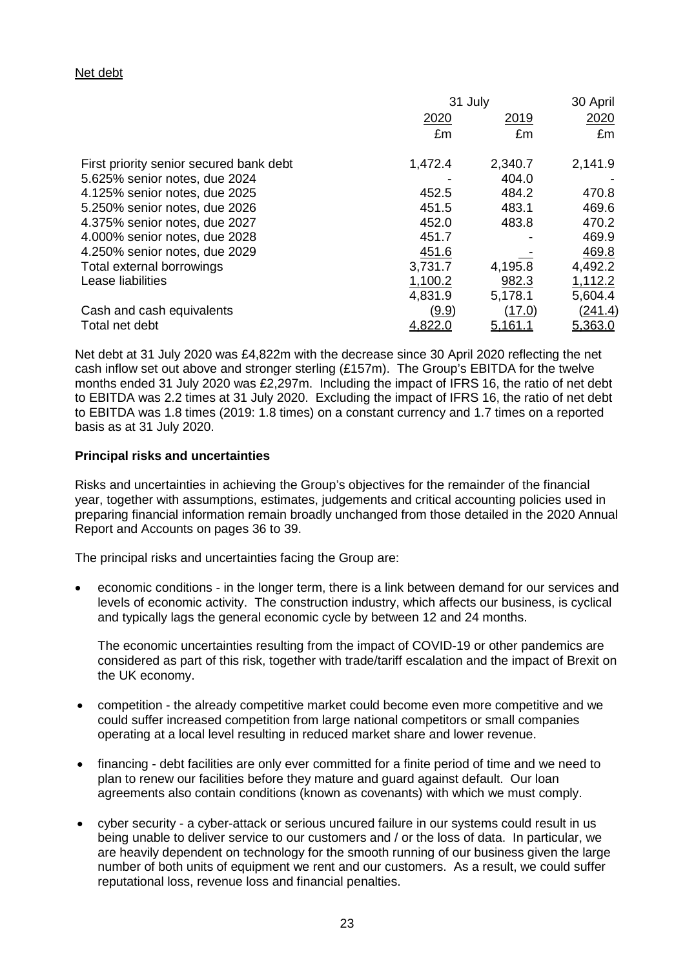## Net debt

|                                         |                | 31 July |         |  |
|-----------------------------------------|----------------|---------|---------|--|
|                                         | 2020           | 2019    | 2020    |  |
|                                         | £m             | £m      | £m      |  |
| First priority senior secured bank debt | 1,472.4        | 2,340.7 | 2,141.9 |  |
| 5.625% senior notes, due 2024           |                | 404.0   |         |  |
| 4.125% senior notes, due 2025           | 452.5          | 484.2   | 470.8   |  |
| 5.250% senior notes, due 2026           | 451.5          | 483.1   | 469.6   |  |
| 4.375% senior notes, due 2027           | 452.0          | 483.8   | 470.2   |  |
| 4.000% senior notes, due 2028           | 451.7          |         | 469.9   |  |
| 4.250% senior notes, due 2029           | 451.6          |         | 469.8   |  |
| Total external borrowings               | 3,731.7        | 4,195.8 | 4,492.2 |  |
| Lease liabilities                       | 1,100.2        | 982.3   | 1,112.2 |  |
|                                         | 4,831.9        | 5,178.1 | 5,604.4 |  |
| Cash and cash equivalents               | (9.9)          | (17.0)  | (241.4) |  |
| Total net debt                          | <u>4,822.0</u> | 5,161.1 | 5,363.0 |  |

Net debt at 31 July 2020 was £4,822m with the decrease since 30 April 2020 reflecting the net cash inflow set out above and stronger sterling (£157m). The Group's EBITDA for the twelve months ended 31 July 2020 was £2,297m. Including the impact of IFRS 16, the ratio of net debt to EBITDA was 2.2 times at 31 July 2020. Excluding the impact of IFRS 16, the ratio of net debt to EBITDA was 1.8 times (2019: 1.8 times) on a constant currency and 1.7 times on a reported basis as at 31 July 2020.

### **Principal risks and uncertainties**

Risks and uncertainties in achieving the Group's objectives for the remainder of the financial year, together with assumptions, estimates, judgements and critical accounting policies used in preparing financial information remain broadly unchanged from those detailed in the 2020 Annual Report and Accounts on pages 36 to 39.

The principal risks and uncertainties facing the Group are:

• economic conditions - in the longer term, there is a link between demand for our services and levels of economic activity. The construction industry, which affects our business, is cyclical and typically lags the general economic cycle by between 12 and 24 months.

The economic uncertainties resulting from the impact of COVID-19 or other pandemics are considered as part of this risk, together with trade/tariff escalation and the impact of Brexit on the UK economy.

- competition the already competitive market could become even more competitive and we could suffer increased competition from large national competitors or small companies operating at a local level resulting in reduced market share and lower revenue.
- financing debt facilities are only ever committed for a finite period of time and we need to plan to renew our facilities before they mature and guard against default. Our loan agreements also contain conditions (known as covenants) with which we must comply.
- cyber security a cyber-attack or serious uncured failure in our systems could result in us being unable to deliver service to our customers and / or the loss of data. In particular, we are heavily dependent on technology for the smooth running of our business given the large number of both units of equipment we rent and our customers. As a result, we could suffer reputational loss, revenue loss and financial penalties.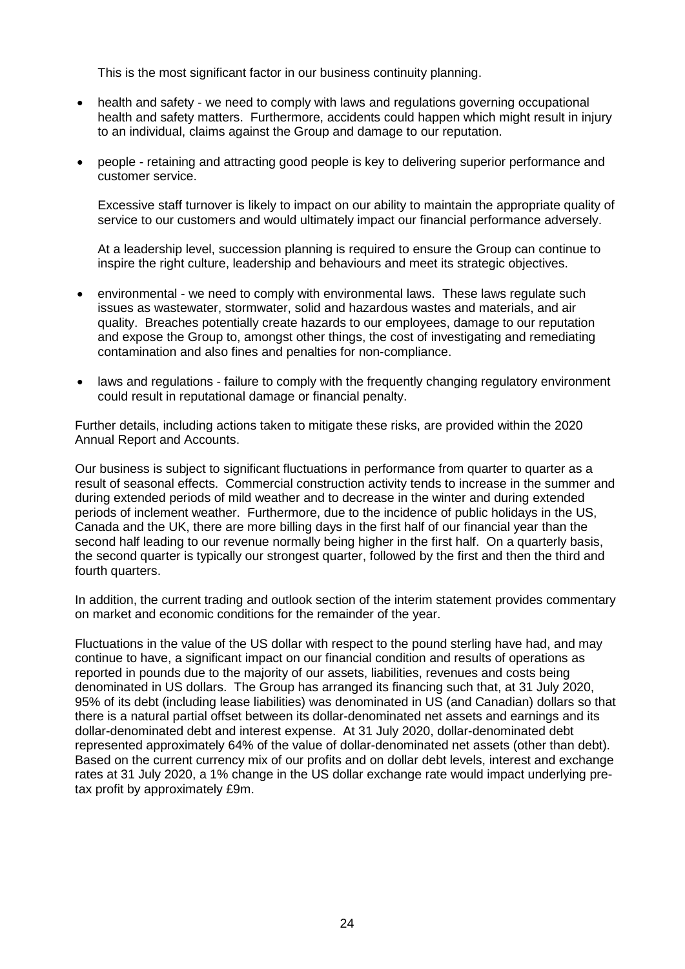This is the most significant factor in our business continuity planning.

- health and safety we need to comply with laws and regulations governing occupational health and safety matters. Furthermore, accidents could happen which might result in injury to an individual, claims against the Group and damage to our reputation.
- people retaining and attracting good people is key to delivering superior performance and customer service.

Excessive staff turnover is likely to impact on our ability to maintain the appropriate quality of service to our customers and would ultimately impact our financial performance adversely.

At a leadership level, succession planning is required to ensure the Group can continue to inspire the right culture, leadership and behaviours and meet its strategic objectives.

- environmental we need to comply with environmental laws. These laws regulate such issues as wastewater, stormwater, solid and hazardous wastes and materials, and air quality. Breaches potentially create hazards to our employees, damage to our reputation and expose the Group to, amongst other things, the cost of investigating and remediating contamination and also fines and penalties for non-compliance.
- laws and regulations failure to comply with the frequently changing regulatory environment could result in reputational damage or financial penalty.

Further details, including actions taken to mitigate these risks, are provided within the 2020 Annual Report and Accounts.

Our business is subject to significant fluctuations in performance from quarter to quarter as a result of seasonal effects. Commercial construction activity tends to increase in the summer and during extended periods of mild weather and to decrease in the winter and during extended periods of inclement weather. Furthermore, due to the incidence of public holidays in the US, Canada and the UK, there are more billing days in the first half of our financial year than the second half leading to our revenue normally being higher in the first half. On a quarterly basis, the second quarter is typically our strongest quarter, followed by the first and then the third and fourth quarters.

In addition, the current trading and outlook section of the interim statement provides commentary on market and economic conditions for the remainder of the year.

Fluctuations in the value of the US dollar with respect to the pound sterling have had, and may continue to have, a significant impact on our financial condition and results of operations as reported in pounds due to the majority of our assets, liabilities, revenues and costs being denominated in US dollars. The Group has arranged its financing such that, at 31 July 2020, 95% of its debt (including lease liabilities) was denominated in US (and Canadian) dollars so that there is a natural partial offset between its dollar-denominated net assets and earnings and its dollar-denominated debt and interest expense. At 31 July 2020, dollar-denominated debt represented approximately 64% of the value of dollar-denominated net assets (other than debt). Based on the current currency mix of our profits and on dollar debt levels, interest and exchange rates at 31 July 2020, a 1% change in the US dollar exchange rate would impact underlying pretax profit by approximately £9m.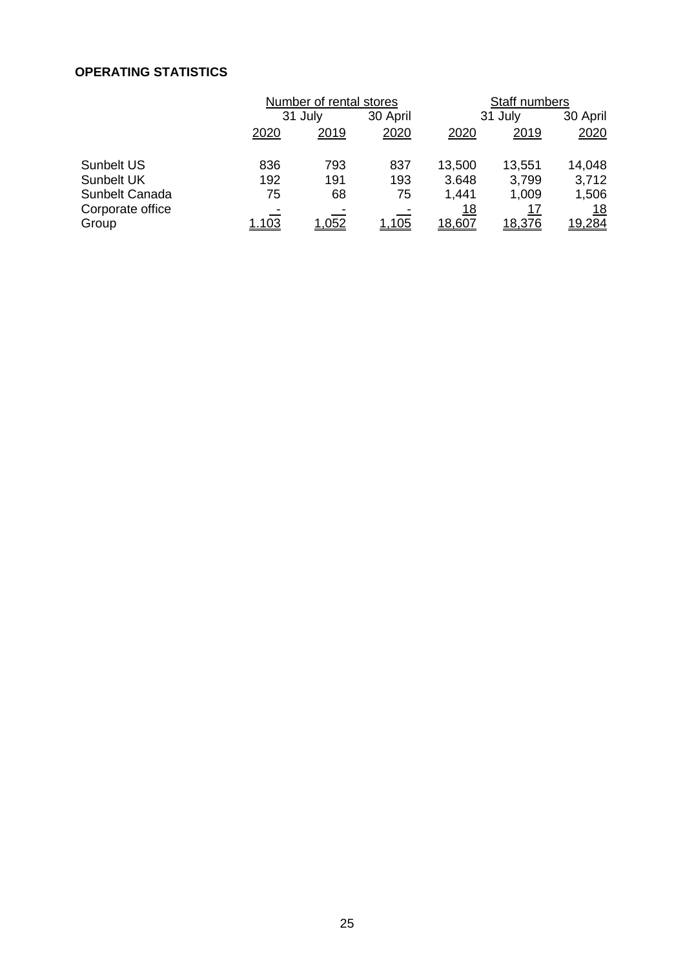# **OPERATING STATISTICS**

|                           |       | Number of rental stores |              |                      | <b>Staff numbers</b> |                     |  |
|---------------------------|-------|-------------------------|--------------|----------------------|----------------------|---------------------|--|
|                           |       | 31 July                 |              |                      | 31 July              |                     |  |
|                           | 2020  | 2019                    | 2020         | 2020                 | 2019                 | 2020                |  |
| Sunbelt US                | 836   | 793                     | 837          | 13,500               | 13,551               | 14,048              |  |
| <b>Sunbelt UK</b>         | 192   | 191                     | 193          | 3.648                | 3,799                | 3,712               |  |
| Sunbelt Canada            | 75    | 68                      | 75           | 1,441                | 1,009                | 1,506               |  |
| Corporate office<br>Group | 1.103 | 1,052                   | <u>1,105</u> | <u> 18</u><br>18,607 | 17<br>18,376         | <u>18</u><br>19,284 |  |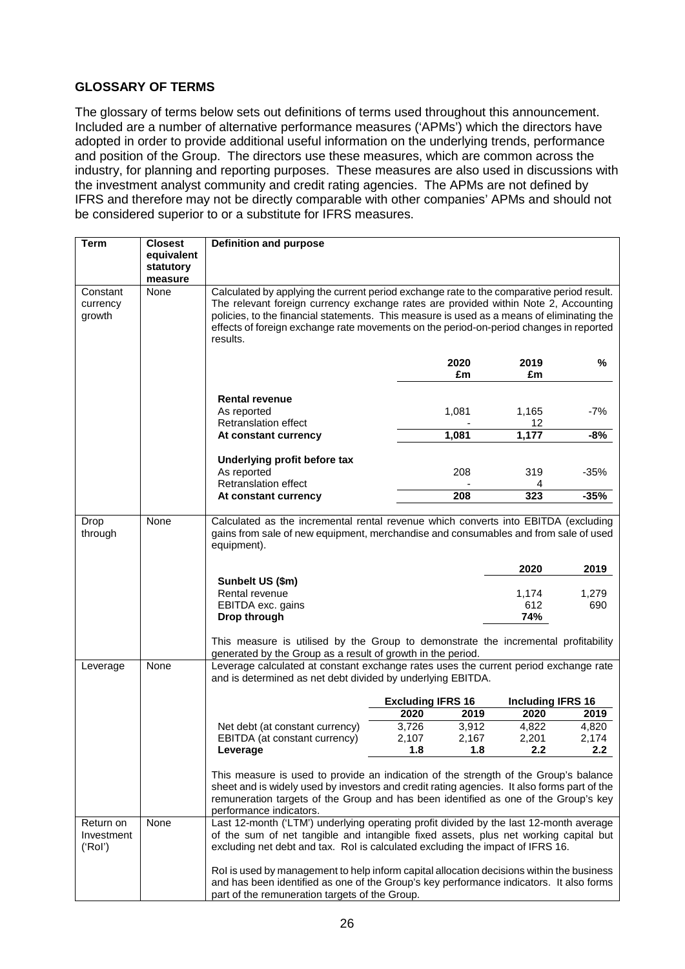# **GLOSSARY OF TERMS**

The glossary of terms below sets out definitions of terms used throughout this announcement. Included are a number of alternative performance measures ('APMs') which the directors have adopted in order to provide additional useful information on the underlying trends, performance and position of the Group. The directors use these measures, which are common across the industry, for planning and reporting purposes. These measures are also used in discussions with the investment analyst community and credit rating agencies. The APMs are not defined by IFRS and therefore may not be directly comparable with other companies' APMs and should not be considered superior to or a substitute for IFRS measures.

| <b>Term</b>           | <b>Closest</b>                     | <b>Definition and purpose</b>                                                                                                                                                            |                          |                |                          |
|-----------------------|------------------------------------|------------------------------------------------------------------------------------------------------------------------------------------------------------------------------------------|--------------------------|----------------|--------------------------|
|                       | equivalent<br>statutory<br>measure |                                                                                                                                                                                          |                          |                |                          |
| Constant              | None                               | Calculated by applying the current period exchange rate to the comparative period result.                                                                                                |                          |                |                          |
| currency              |                                    | The relevant foreign currency exchange rates are provided within Note 2, Accounting                                                                                                      |                          |                |                          |
| growth                |                                    | policies, to the financial statements. This measure is used as a means of eliminating the                                                                                                |                          |                |                          |
|                       |                                    | effects of foreign exchange rate movements on the period-on-period changes in reported<br>results.                                                                                       |                          |                |                          |
|                       |                                    |                                                                                                                                                                                          | 2020                     | 2019           | %                        |
|                       |                                    |                                                                                                                                                                                          | £m                       | £m             |                          |
|                       |                                    |                                                                                                                                                                                          |                          |                |                          |
|                       |                                    | <b>Rental revenue</b>                                                                                                                                                                    |                          |                |                          |
|                       |                                    | As reported                                                                                                                                                                              | 1,081                    | 1,165          | -7%                      |
|                       |                                    | <b>Retranslation effect</b>                                                                                                                                                              |                          | 12             |                          |
|                       |                                    | At constant currency                                                                                                                                                                     | 1,081                    | 1,177          | $-8%$                    |
|                       |                                    | Underlying profit before tax                                                                                                                                                             |                          |                |                          |
|                       |                                    | As reported                                                                                                                                                                              | 208                      | 319            | $-35%$                   |
|                       |                                    | <b>Retranslation effect</b>                                                                                                                                                              |                          |                |                          |
|                       |                                    | At constant currency                                                                                                                                                                     | 208                      | 323            | $-35%$                   |
|                       |                                    |                                                                                                                                                                                          |                          |                |                          |
| Drop<br>through       | None                               | Calculated as the incremental rental revenue which converts into EBITDA (excluding<br>gains from sale of new equipment, merchandise and consumables and from sale of used<br>equipment). |                          |                |                          |
|                       |                                    |                                                                                                                                                                                          |                          | 2020           | 2019                     |
|                       |                                    | Sunbelt US (\$m)                                                                                                                                                                         |                          |                |                          |
|                       |                                    | Rental revenue                                                                                                                                                                           |                          | 1,174          | 1,279                    |
|                       |                                    | EBITDA exc. gains                                                                                                                                                                        |                          | 612            | 690                      |
|                       |                                    | Drop through                                                                                                                                                                             |                          | 74%            |                          |
|                       |                                    | This measure is utilised by the Group to demonstrate the incremental profitability<br>generated by the Group as a result of growth in the period.                                        |                          |                |                          |
| Leverage              | None                               | Leverage calculated at constant exchange rates uses the current period exchange rate                                                                                                     |                          |                |                          |
|                       |                                    | and is determined as net debt divided by underlying EBITDA.                                                                                                                              |                          |                |                          |
|                       |                                    |                                                                                                                                                                                          | <b>Excluding IFRS 16</b> |                | <b>Including IFRS 16</b> |
|                       |                                    |                                                                                                                                                                                          | 2020                     | 2019<br>2020   | 2019                     |
|                       |                                    | Net debt (at constant currency)                                                                                                                                                          | 3,726                    | 3,912<br>4,822 | 4,820                    |
|                       |                                    | EBITDA (at constant currency)                                                                                                                                                            | 2,107                    | 2,167<br>2,201 | 2,174                    |
|                       |                                    | Leverage                                                                                                                                                                                 | 1.8                      | 2.2<br>1.8     | 2.2                      |
|                       |                                    | This measure is used to provide an indication of the strength of the Group's balance<br>sheet and is widely used by investors and credit rating agencies. It also forms part of the      |                          |                |                          |
|                       |                                    | remuneration targets of the Group and has been identified as one of the Group's key<br>performance indicators.                                                                           |                          |                |                          |
| Return on             | None                               | Last 12-month ('LTM') underlying operating profit divided by the last 12-month average                                                                                                   |                          |                |                          |
| Investment<br>('Rol') |                                    | of the sum of net tangible and intangible fixed assets, plus net working capital but<br>excluding net debt and tax. Rol is calculated excluding the impact of IFRS 16.                   |                          |                |                          |
|                       |                                    | Rol is used by management to help inform capital allocation decisions within the business<br>and has been identified as one of the Group's key performance indicators. It also forms     |                          |                |                          |
|                       |                                    | part of the remuneration targets of the Group.                                                                                                                                           |                          |                |                          |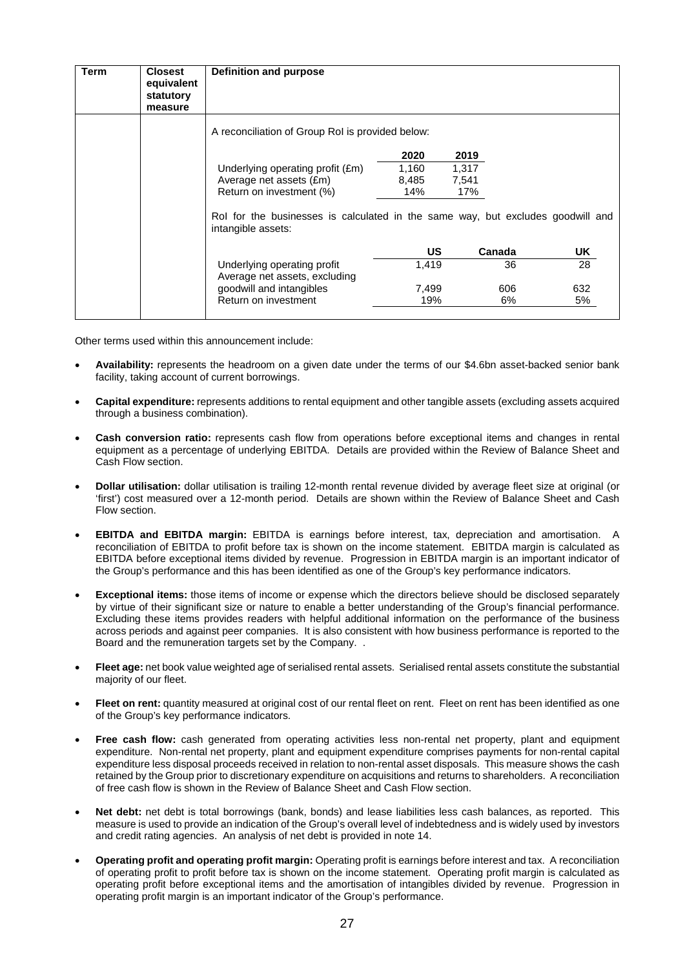| Term | <b>Closest</b><br>equivalent<br>statutory<br>measure | Definition and purpose                                                                                |       |        |     |
|------|------------------------------------------------------|-------------------------------------------------------------------------------------------------------|-------|--------|-----|
|      |                                                      | A reconciliation of Group RoI is provided below:                                                      |       |        |     |
|      |                                                      |                                                                                                       | 2020  | 2019   |     |
|      |                                                      | Underlying operating profit (£m)                                                                      | 1,160 | 1,317  |     |
|      |                                                      | Average net assets (£m)                                                                               | 8,485 | 7,541  |     |
|      |                                                      | Return on investment (%)                                                                              | 14%   | 17%    |     |
|      |                                                      | Rol for the businesses is calculated in the same way, but excludes goodwill and<br>intangible assets: |       |        |     |
|      |                                                      |                                                                                                       | US    | Canada | UK  |
|      |                                                      | Underlying operating profit<br>Average net assets, excluding                                          | 1,419 | 36     | 28  |
|      |                                                      | goodwill and intangibles                                                                              | 7.499 | 606    | 632 |
|      |                                                      | Return on investment                                                                                  | 19%   | 6%     | 5%  |
|      |                                                      |                                                                                                       |       |        |     |

Other terms used within this announcement include:

- **Availability:** represents the headroom on a given date under the terms of our \$4.6bn asset-backed senior bank facility, taking account of current borrowings.
- **Capital expenditure:** represents additions to rental equipment and other tangible assets (excluding assets acquired through a business combination).
- **Cash conversion ratio:** represents cash flow from operations before exceptional items and changes in rental equipment as a percentage of underlying EBITDA. Details are provided within the Review of Balance Sheet and Cash Flow section.
- **Dollar utilisation:** dollar utilisation is trailing 12-month rental revenue divided by average fleet size at original (or 'first') cost measured over a 12-month period. Details are shown within the Review of Balance Sheet and Cash Flow section.
- **EBITDA and EBITDA margin:** EBITDA is earnings before interest, tax, depreciation and amortisation. A reconciliation of EBITDA to profit before tax is shown on the income statement. EBITDA margin is calculated as EBITDA before exceptional items divided by revenue. Progression in EBITDA margin is an important indicator of the Group's performance and this has been identified as one of the Group's key performance indicators.
- **Exceptional items:** those items of income or expense which the directors believe should be disclosed separately by virtue of their significant size or nature to enable a better understanding of the Group's financial performance. Excluding these items provides readers with helpful additional information on the performance of the business across periods and against peer companies. It is also consistent with how business performance is reported to the Board and the remuneration targets set by the Company. .
- **Fleet age:** net book value weighted age of serialised rental assets. Serialised rental assets constitute the substantial majority of our fleet.
- **Fleet on rent:** quantity measured at original cost of our rental fleet on rent. Fleet on rent has been identified as one of the Group's key performance indicators.
- **Free cash flow:** cash generated from operating activities less non-rental net property, plant and equipment expenditure. Non-rental net property, plant and equipment expenditure comprises payments for non-rental capital expenditure less disposal proceeds received in relation to non-rental asset disposals. This measure shows the cash retained by the Group prior to discretionary expenditure on acquisitions and returns to shareholders. A reconciliation of free cash flow is shown in the Review of Balance Sheet and Cash Flow section.
- **Net debt:** net debt is total borrowings (bank, bonds) and lease liabilities less cash balances, as reported. This measure is used to provide an indication of the Group's overall level of indebtedness and is widely used by investors and credit rating agencies. An analysis of net debt is provided in note 14.
- **Operating profit and operating profit margin:** Operating profit is earnings before interest and tax. A reconciliation of operating profit to profit before tax is shown on the income statement. Operating profit margin is calculated as operating profit before exceptional items and the amortisation of intangibles divided by revenue. Progression in operating profit margin is an important indicator of the Group's performance.